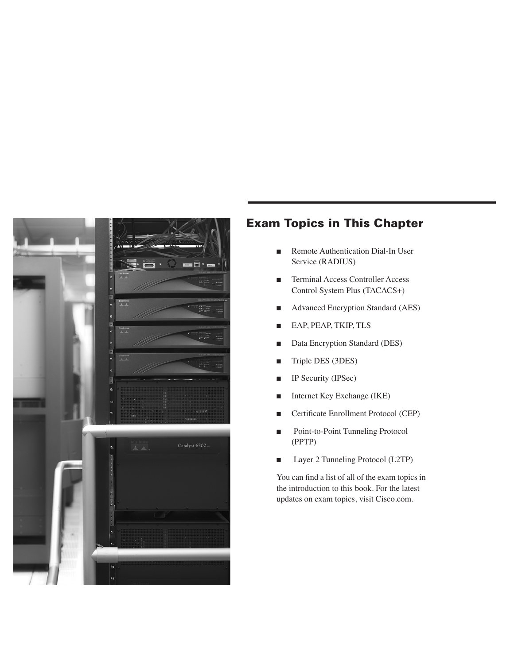

### **Exam Topics in This Chapter**

- Remote Authentication Dial-In User Service (RADIUS)
- Terminal Access Controller Access Control System Plus (TACACS+)
- Advanced Encryption Standard (AES)
- EAP, PEAP, TKIP, TLS
- Data Encryption Standard (DES)
- Triple DES (3DES)
- IP Security (IPSec)
- Internet Key Exchange (IKE)
- Certificate Enrollment Protocol (CEP)
- Point-to-Point Tunneling Protocol (PPTP)
- Layer 2 Tunneling Protocol (L2TP)

You can find a list of all of the exam topics in the introduction to this book. For the latest updates on exam topics, visit Cisco.com.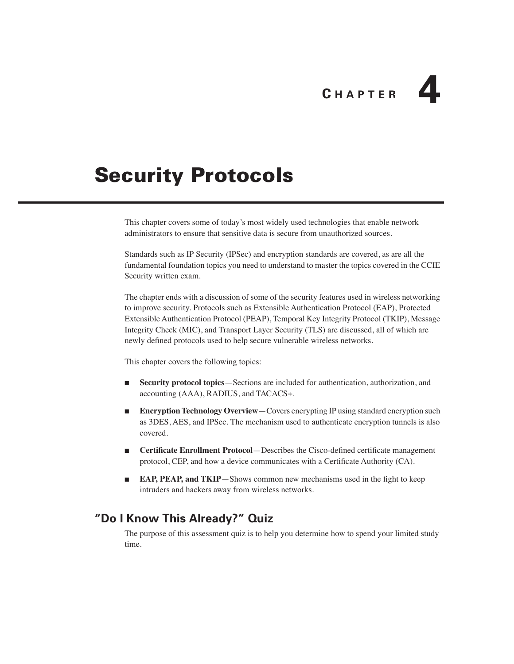# **C H <sup>A</sup> <sup>P</sup> <sup>T</sup> <sup>E</sup> <sup>R</sup> 4**

## **Security Protocols**

This chapter covers some of today's most widely used technologies that enable network administrators to ensure that sensitive data is secure from unauthorized sources.

Standards such as IP Security (IPSec) and encryption standards are covered, as are all the fundamental foundation topics you need to understand to master the topics covered in the CCIE Security written exam.

The chapter ends with a discussion of some of the security features used in wireless networking to improve security. Protocols such as Extensible Authentication Protocol (EAP), Protected Extensible Authentication Protocol (PEAP), Temporal Key Integrity Protocol (TKIP), Message Integrity Check (MIC), and Transport Layer Security (TLS) are discussed, all of which are newly defined protocols used to help secure vulnerable wireless networks.

This chapter covers the following topics:

- **Security protocol topics**—Sections are included for authentication, authorization, and accounting (AAA), RADIUS, and TACACS+.
- **Encryption Technology Overview—Covers encrypting IP using standard encryption such** as 3DES, AES, and IPSec. The mechanism used to authenticate encryption tunnels is also covered.
- **Certificate Enrollment Protocol**—Describes the Cisco-defined certificate management protocol, CEP, and how a device communicates with a Certificate Authority (CA).
- **EAP, PEAP, and TKIP**—Shows common new mechanisms used in the fight to keep intruders and hackers away from wireless networks.

### **"Do I Know This Already?" Quiz**

The purpose of this assessment quiz is to help you determine how to spend your limited study time.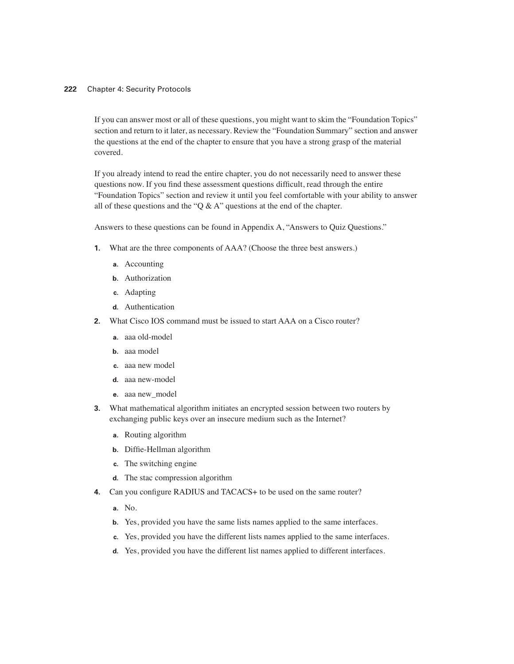If you can answer most or all of these questions, you might want to skim the "Foundation Topics" section and return to it later, as necessary. Review the "Foundation Summary" section and answer the questions at the end of the chapter to ensure that you have a strong grasp of the material covered.

If you already intend to read the entire chapter, you do not necessarily need to answer these questions now. If you find these assessment questions difficult, read through the entire "Foundation Topics" section and review it until you feel comfortable with your ability to answer all of these questions and the "Q  $\&$  A" questions at the end of the chapter.

Answers to these questions can be found in Appendix A, "Answers to Quiz Questions."

- **1.** What are the three components of AAA? (Choose the three best answers.)
	- **a.** Accounting
	- **b.** Authorization
	- **c.** Adapting
	- **d.** Authentication
- **2.** What Cisco IOS command must be issued to start AAA on a Cisco router?
	- **a.** aaa old-model
	- **b.** aaa model
	- **c.** aaa new model
	- **d.** aaa new-model
	- **e.** aaa new\_model
- **3.** What mathematical algorithm initiates an encrypted session between two routers by exchanging public keys over an insecure medium such as the Internet?
	- **a.** Routing algorithm
	- **b.** Diffie-Hellman algorithm
	- **c.** The switching engine
	- **d.** The stac compression algorithm
- **4.** Can you configure RADIUS and TACACS+ to be used on the same router?
	- **a.** No.
	- **b.** Yes, provided you have the same lists names applied to the same interfaces.
	- **c.** Yes, provided you have the different lists names applied to the same interfaces.
	- **d.** Yes, provided you have the different list names applied to different interfaces.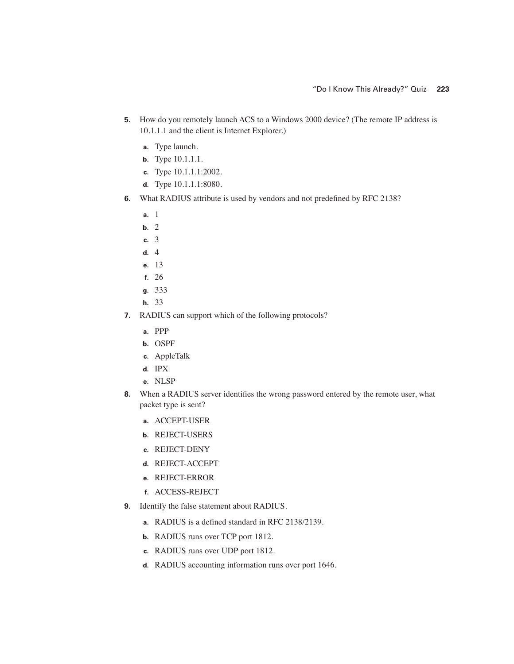- **5.** How do you remotely launch ACS to a Windows 2000 device? (The remote IP address is 10.1.1.1 and the client is Internet Explorer.)
	- **a.** Type launch.
	- **b.** Type 10.1.1.1.
	- **c.** Type 10.1.1.1:2002.
	- **d.** Type 10.1.1.1:8080.
- **6.** What RADIUS attribute is used by vendors and not predefined by RFC 2138?
	- **a.** 1
	- **b.** 2
	- **c.** 3
	- **d.** 4
	- **e.** 13
	- **f.** 26
	- **g.** 333
	- **h.** 33
- **7.** RADIUS can support which of the following protocols?
	- **a.** PPP
	- **b.** OSPF
	- **c.** AppleTalk
	- **d.** IPX
	- **e.** NLSP
- **8.** When a RADIUS server identifies the wrong password entered by the remote user, what packet type is sent?
	- **a.** ACCEPT-USER
	- **b.** REJECT-USERS
	- **c.** REJECT-DENY
	- **d.** REJECT-ACCEPT
	- **e.** REJECT-ERROR
	- **f.** ACCESS-REJECT
- **9.** Identify the false statement about RADIUS.
	- **a.** RADIUS is a defined standard in RFC 2138/2139.
	- **b.** RADIUS runs over TCP port 1812.
	- **c.** RADIUS runs over UDP port 1812.
	- **d.** RADIUS accounting information runs over port 1646.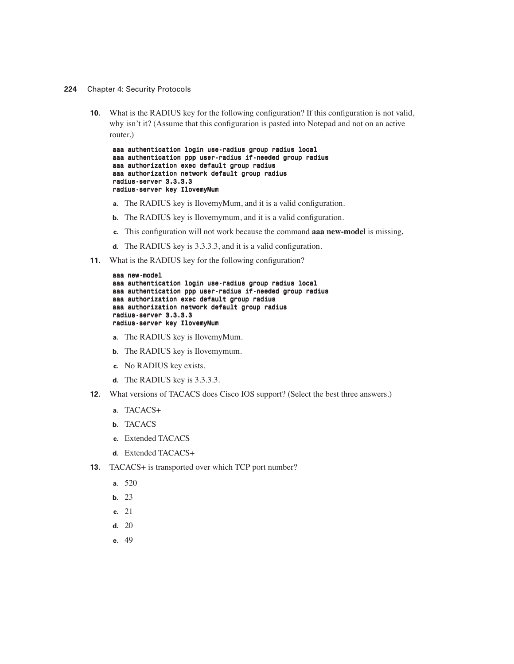- **224** Chapter 4: Security Protocols
	- **10.** What is the RADIUS key for the following configuration? If this configuration is not valid, why isn't it? (Assume that this configuration is pasted into Notepad and not on an active router.)

```
aaa authentication login use-radius group radius local
aaa authentication ppp user-radius if-needed group radius
aaa authorization exec default group radius
aaa authorization network default group radius
radius-server 3.3.3.3
radius-server key IlovemyMum
```
- **a.** The RADIUS key is IlovemyMum, and it is a valid configuration.
- **b.** The RADIUS key is Ilovemymum, and it is a valid configuration.
- **c.** This configuration will not work because the command **aaa new-model** is missing**.**
- **d.** The RADIUS key is 3.3.3.3, and it is a valid configuration.
- **11.** What is the RADIUS key for the following configuration?

```
aaa new-model
```

```
aaa authentication login use-radius group radius local
aaa authentication ppp user-radius if-needed group radius
aaa authorization exec default group radius
aaa authorization network default group radius
radius-server 3.3.3.3
radius-server key IlovemyMum
```
- **a.** The RADIUS key is IlovemyMum.
- **b.** The RADIUS key is Ilovemymum.
- **c.** No RADIUS key exists.
- **d.** The RADIUS key is 3.3.3.3.
- **12.** What versions of TACACS does Cisco IOS support? (Select the best three answers.)
	- **a.** TACACS+
	- **b.** TACACS
	- **c.** Extended TACACS
	- **d.** Extended TACACS+
- **13.** TACACS+ is transported over which TCP port number?
	- **a.** 520
	- **b.** 23
	- **c.** 21
	- **d.** 20
	- **e.** 49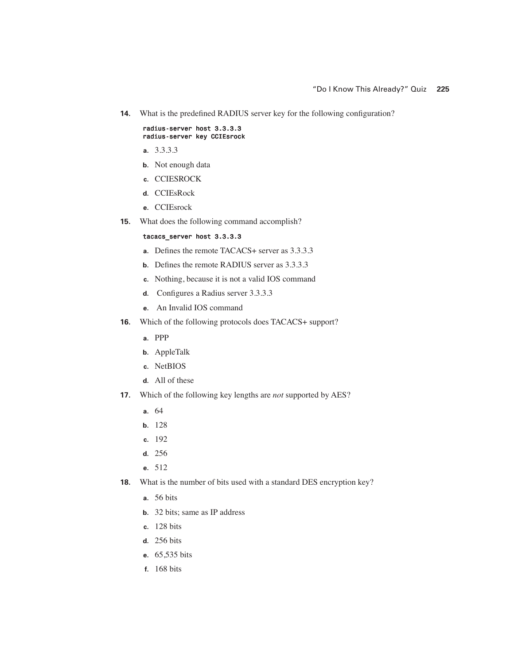**14.** What is the predefined RADIUS server key for the following configuration?

radius-server host 3.3.3.3 radius-server key CCIEsrock

- **a.** 3.3.3.3
- **b.** Not enough data
- **c.** CCIESROCK
- **d.** CCIEsRock
- **e.** CCIEsrock
- **15.** What does the following command accomplish?

### tacacs\_server host 3.3.3.3

- **a.** Defines the remote TACACS+ server as 3.3.3.3
- **b.** Defines the remote RADIUS server as 3.3.3.3
- **c.** Nothing, because it is not a valid IOS command
- **d.** Configures a Radius server 3.3.3.3
- **e.** An Invalid IOS command
- **16.** Which of the following protocols does TACACS+ support?
	- **a.** PPP
	- **b.** AppleTalk
	- **c.** NetBIOS
	- **d.** All of these
- **17.** Which of the following key lengths are *not* supported by AES?
	- **a.** 64
	- **b.** 128
	- **c.** 192
	- **d.** 256
	- **e.** 512
- **18.** What is the number of bits used with a standard DES encryption key?
	- **a.** 56 bits
	- **b.** 32 bits; same as IP address
	- **c.** 128 bits
	- **d.** 256 bits
	- **e.** 65,535 bits
	- **f.** 168 bits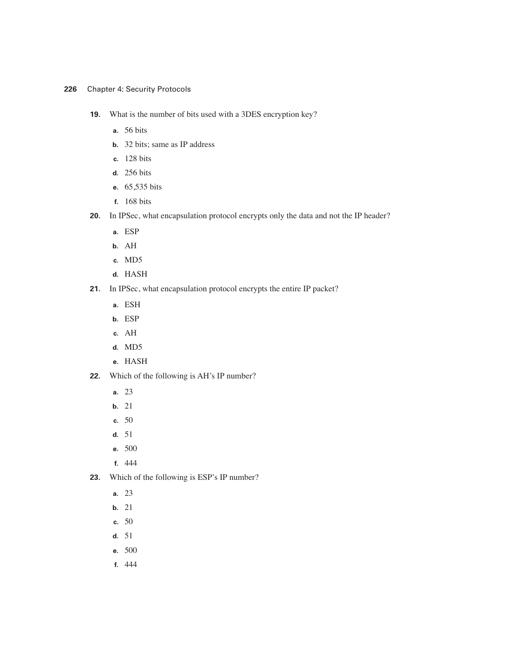- **19.** What is the number of bits used with a 3DES encryption key?
	- **a.** 56 bits
	- **b.** 32 bits; same as IP address
	- **c.** 128 bits
	- **d.** 256 bits
	- **e.** 65,535 bits
	- **f.** 168 bits
- **20.** In IPSec, what encapsulation protocol encrypts only the data and not the IP header?
	- **a.** ESP
	- **b.** AH
	- **c.** MD5
	- **d.** HASH
- **21.** In IPSec, what encapsulation protocol encrypts the entire IP packet?
	- **a.** ESH
	- **b.** ESP
	- **c.** AH
	- **d.** MD5
	- **e.** HASH
- **22.** Which of the following is AH's IP number?
	- **a.** 23
	- **b.** 21
	- **c.** 50
	- **d.** 51
	- **e.** 500
	- **f.** 444
- **23.** Which of the following is ESP's IP number?
	- **a.** 23
	- **b.** 21
	- **c.** 50
	- **d.** 51
	- **e.** 500
	- **f.** 444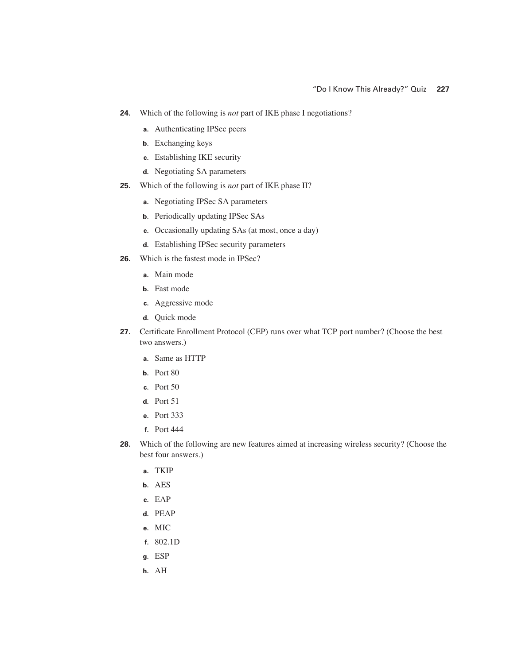### "Do I Know This Already?" Quiz **227**

- **24.** Which of the following is *not* part of IKE phase I negotiations?
	- **a.** Authenticating IPSec peers
	- **b.** Exchanging keys
	- **c.** Establishing IKE security
	- **d.** Negotiating SA parameters
- **25.** Which of the following is *not* part of IKE phase II?
	- **a.** Negotiating IPSec SA parameters
	- **b.** Periodically updating IPSec SAs
	- **c.** Occasionally updating SAs (at most, once a day)
	- **d.** Establishing IPSec security parameters
- **26.** Which is the fastest mode in IPSec?
	- **a.** Main mode
	- **b.** Fast mode
	- **c.** Aggressive mode
	- **d.** Quick mode
- **27.** Certificate Enrollment Protocol (CEP) runs over what TCP port number? (Choose the best two answers.)
	- **a.** Same as HTTP
	- **b.** Port 80
	- **c.** Port 50
	- **d.** Port 51
	- **e.** Port 333
	- **f.** Port 444
- **28.** Which of the following are new features aimed at increasing wireless security? (Choose the best four answers.)
	- **a.** TKIP
	- **b.** AES
	- **c.** EAP
	- **d.** PEAP
	- **e.** MIC
	- **f.** 802.1D
	- **g.** ESP
	- **h.** AH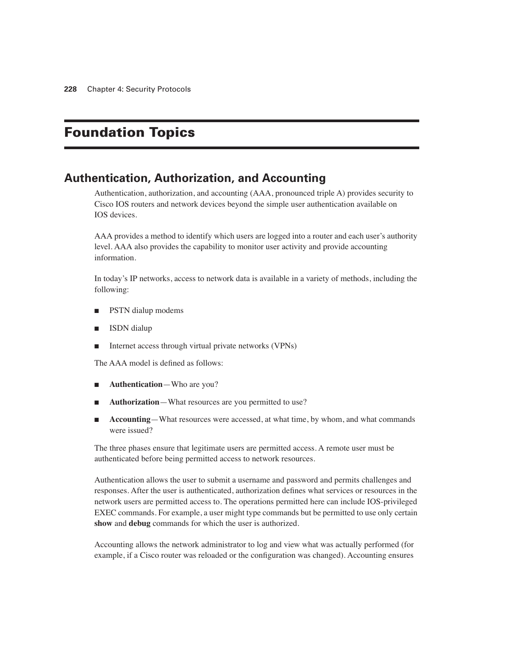### **Foundation Topics**

### **Authentication, Authorization, and Accounting**

Authentication, authorization, and accounting (AAA, pronounced triple A) provides security to Cisco IOS routers and network devices beyond the simple user authentication available on IOS devices.

AAA provides a method to identify which users are logged into a router and each user's authority level. AAA also provides the capability to monitor user activity and provide accounting information.

In today's IP networks, access to network data is available in a variety of methods, including the following:

- PSTN dialup modems
- ISDN dialup
- Internet access through virtual private networks (VPNs)

The AAA model is defined as follows:

- **Authentication**—Who are you?
- Authorization—What resources are you permitted to use?
- **Accounting**—What resources were accessed, at what time, by whom, and what commands were issued?

The three phases ensure that legitimate users are permitted access. A remote user must be authenticated before being permitted access to network resources.

Authentication allows the user to submit a username and password and permits challenges and responses. After the user is authenticated, authorization defines what services or resources in the network users are permitted access to. The operations permitted here can include IOS-privileged EXEC commands. For example, a user might type commands but be permitted to use only certain **show** and **debug** commands for which the user is authorized.

Accounting allows the network administrator to log and view what was actually performed (for example, if a Cisco router was reloaded or the configuration was changed). Accounting ensures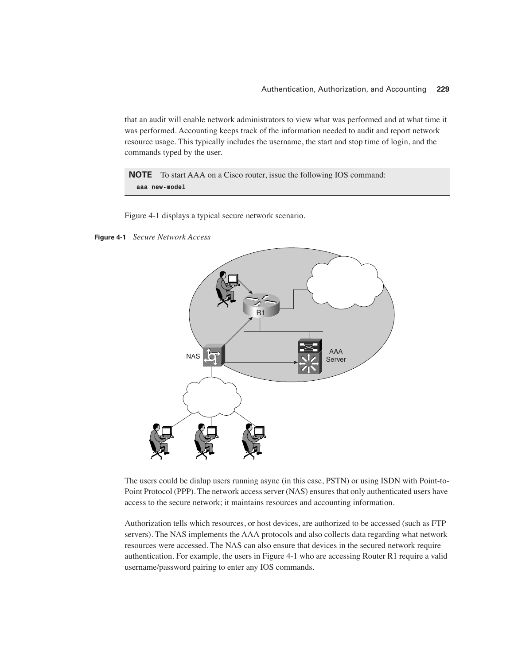that an audit will enable network administrators to view what was performed and at what time it was performed. Accounting keeps track of the information needed to audit and report network resource usage. This typically includes the username, the start and stop time of login, and the commands typed by the user.

**NOTE** To start AAA on a Cisco router, issue the following IOS command: *aaa new-model*

Figure 4-1 displays a typical secure network scenario.

**Figure 4-1** *Secure Network Access*



The users could be dialup users running async (in this case, PSTN) or using ISDN with Point-to-Point Protocol (PPP). The network access server (NAS) ensures that only authenticated users have access to the secure network; it maintains resources and accounting information.

Authorization tells which resources, or host devices, are authorized to be accessed (such as FTP servers). The NAS implements the AAA protocols and also collects data regarding what network resources were accessed. The NAS can also ensure that devices in the secured network require authentication. For example, the users in Figure 4-1 who are accessing Router R1 require a valid username/password pairing to enter any IOS commands.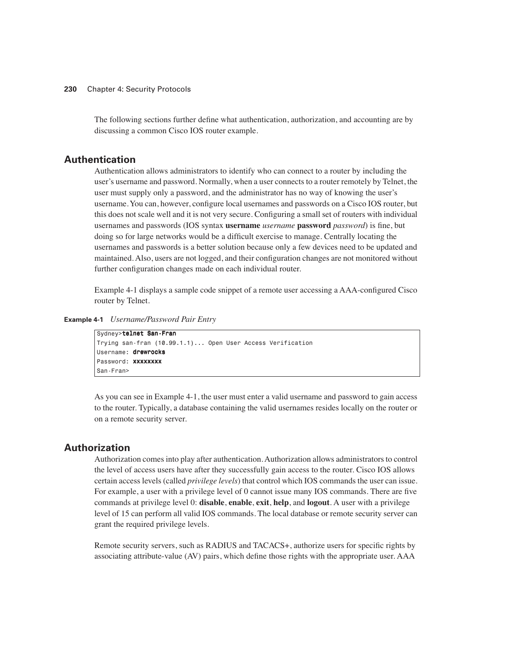The following sections further define what authentication, authorization, and accounting are by discussing a common Cisco IOS router example.

### **Authentication**

Authentication allows administrators to identify who can connect to a router by including the user's username and password. Normally, when a user connects to a router remotely by Telnet, the user must supply only a password, and the administrator has no way of knowing the user's username. You can, however, configure local usernames and passwords on a Cisco IOS router, but this does not scale well and it is not very secure. Configuring a small set of routers with individual usernames and passwords (IOS syntax **username** *username* **password** *password*) is fine, but doing so for large networks would be a difficult exercise to manage. Centrally locating the usernames and passwords is a better solution because only a few devices need to be updated and maintained. Also, users are not logged, and their configuration changes are not monitored without further configuration changes made on each individual router.

Example 4-1 displays a sample code snippet of a remote user accessing a AAA-configured Cisco router by Telnet.

**Example 4-1** *Username/Password Pair Entry*

```
Sydney>telnet San-Fran
Trying san-fran (10.99.1.1)... Open User Access Verification
Username: drewrocks
Password: xxxxxxxx
San-Fran>
```
As you can see in Example 4-1, the user must enter a valid username and password to gain access to the router. Typically, a database containing the valid usernames resides locally on the router or on a remote security server.

### **Authorization**

Authorization comes into play after authentication. Authorization allows administrators to control the level of access users have after they successfully gain access to the router. Cisco IOS allows certain access levels (called *privilege levels*) that control which IOS commands the user can issue. For example, a user with a privilege level of 0 cannot issue many IOS commands. There are five commands at privilege level 0: **disable**, **enable**, **exit**, **help**, and **logout**. A user with a privilege level of 15 can perform all valid IOS commands. The local database or remote security server can grant the required privilege levels.

Remote security servers, such as RADIUS and TACACS+, authorize users for specific rights by associating attribute-value (AV) pairs, which define those rights with the appropriate user. AAA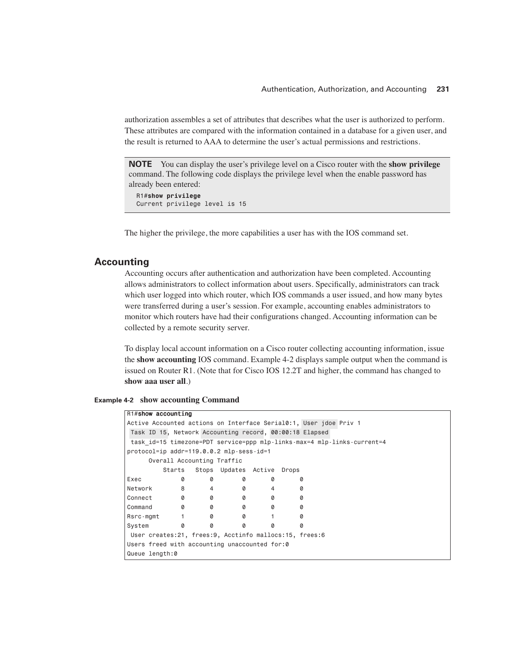authorization assembles a set of attributes that describes what the user is authorized to perform. These attributes are compared with the information contained in a database for a given user, and the result is returned to AAA to determine the user's actual permissions and restrictions.

**NOTE** You can display the user's privilege level on a Cisco router with the **show privilege** command. The following code displays the privilege level when the enable password has already been entered:

```
R1#show privilege 
Current privilege level is 15
```
The higher the privilege, the more capabilities a user has with the IOS command set.

### **Accounting**

Accounting occurs after authentication and authorization have been completed. Accounting allows administrators to collect information about users. Specifically, administrators can track which user logged into which router, which IOS commands a user issued, and how many bytes were transferred during a user's session. For example, accounting enables administrators to monitor which routers have had their configurations changed. Accounting information can be collected by a remote security server.

To display local account information on a Cisco router collecting accounting information, issue the **show accounting** IOS command. Example 4-2 displays sample output when the command is issued on Router R1. (Note that for Cisco IOS 12.2T and higher, the command has changed to **show aaa user all**.)

**Example 4-2 show accounting Command**

```
R1#show accounting
Active Accounted actions on Interface Serial0:1, User jdoe Priv 1
 Task ID 15, Network Accounting record, 00:00:18 Elapsed
  task_id=15 timezone=PDT service=ppp mlp-links-max=4 mlp-links-current=4
protocol=ip addr=119.0.0.2 mlp-sess-id=1 
     Overall Accounting Traffic
       Starts Stops Updates Active Drops
Exec 0 0 0 0 0 0
Network 8 4 0 4 0
Connect 0 0 0 0 0
Command 0 0 0 0 0 0
Rsrc-mgmt 1 0 0 1 0
System 0 0 0 0 0
 User creates:21, frees:9, Acctinfo mallocs:15, frees:6
Users freed with accounting unaccounted for:0
Queue length:0
```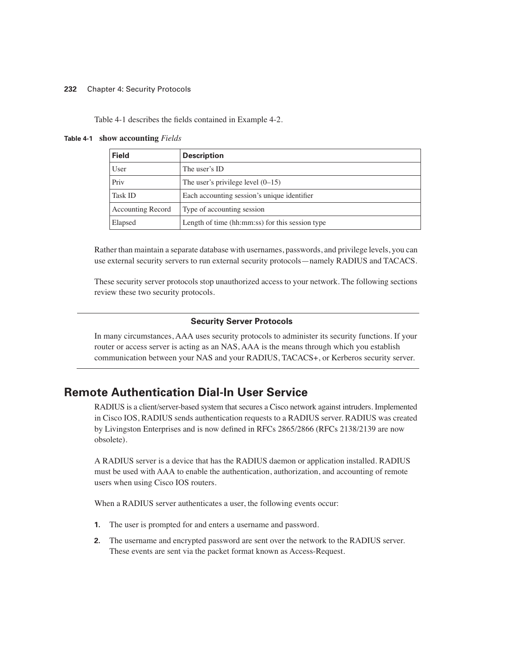Table 4-1 describes the fields contained in Example 4-2.

### **Table 4-1 show accounting** *Fields*

| <b>Field</b>             | <b>Description</b>                              |  |
|--------------------------|-------------------------------------------------|--|
| User                     | The user's ID                                   |  |
| Priv                     | The user's privilege level $(0-15)$             |  |
| <b>Task ID</b>           | Each accounting session's unique identifier     |  |
| <b>Accounting Record</b> | Type of accounting session                      |  |
| Elapsed                  | Length of time (hh:mm:ss) for this session type |  |

Rather than maintain a separate database with usernames, passwords, and privilege levels, you can use external security servers to run external security protocols—namely RADIUS and TACACS.

These security server protocols stop unauthorized access to your network. The following sections review these two security protocols.

### **Security Server Protocols**

In many circumstances, AAA uses security protocols to administer its security functions. If your router or access server is acting as an NAS, AAA is the means through which you establish communication between your NAS and your RADIUS, TACACS+, or Kerberos security server.

### **Remote Authentication Dial-In User Service**

RADIUS is a client/server-based system that secures a Cisco network against intruders. Implemented in Cisco IOS, RADIUS sends authentication requests to a RADIUS server. RADIUS was created by Livingston Enterprises and is now defined in RFCs 2865/2866 (RFCs 2138/2139 are now obsolete).

A RADIUS server is a device that has the RADIUS daemon or application installed. RADIUS must be used with AAA to enable the authentication, authorization, and accounting of remote users when using Cisco IOS routers.

When a RADIUS server authenticates a user, the following events occur:

- **1.** The user is prompted for and enters a username and password.
- **2.** The username and encrypted password are sent over the network to the RADIUS server. These events are sent via the packet format known as Access-Request.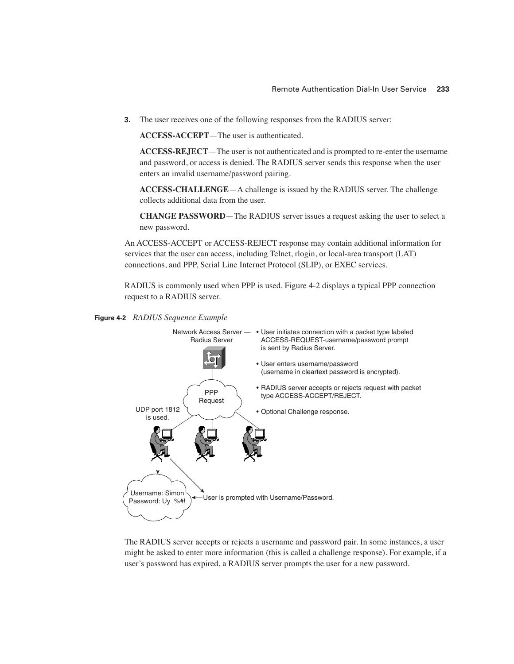**3.** The user receives one of the following responses from the RADIUS server:

**ACCESS-ACCEPT**—The user is authenticated.

**ACCESS-REJECT**—The user is not authenticated and is prompted to re-enter the username and password, or access is denied. The RADIUS server sends this response when the user enters an invalid username/password pairing.

**ACCESS-CHALLENGE**—A challenge is issued by the RADIUS server. The challenge collects additional data from the user.

**CHANGE PASSWORD**—The RADIUS server issues a request asking the user to select a new password.

An ACCESS-ACCEPT or ACCESS-REJECT response may contain additional information for services that the user can access, including Telnet, rlogin, or local-area transport (LAT) connections, and PPP, Serial Line Internet Protocol (SLIP), or EXEC services.

RADIUS is commonly used when PPP is used. Figure 4-2 displays a typical PPP connection request to a RADIUS server.





The RADIUS server accepts or rejects a username and password pair. In some instances, a user might be asked to enter more information (this is called a challenge response). For example, if a user's password has expired, a RADIUS server prompts the user for a new password.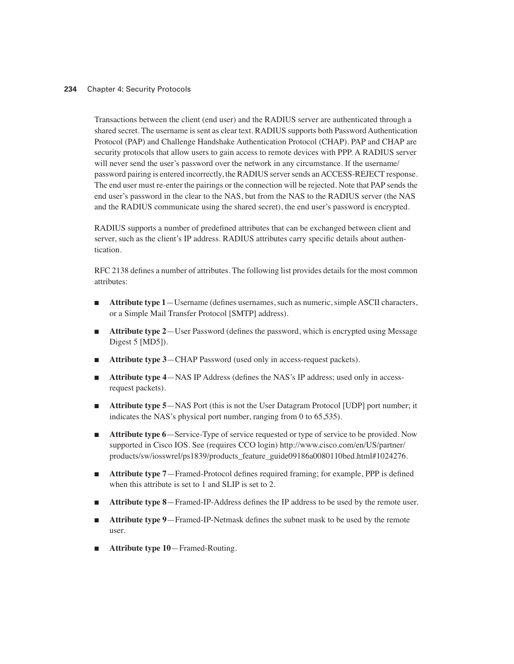Transactions between the client (end user) and the RADIUS server are authenticated through a shared secret. The username is sent as clear text. RADIUS supports both Password Authentication Protocol (PAP) and Challenge Handshake Authentication Protocol (CHAP). PAP and CHAP are security protocols that allow users to gain access to remote devices with PPP. A RADIUS server will never send the user's password over the network in any circumstance. If the username/ password pairing is entered incorrectly, the RADIUS server sends an ACCESS-REJECT response. The end user must re-enter the pairings or the connection will be rejected. Note that PAP sends the end user's password in the clear to the NAS, but from the NAS to the RADIUS server (the NAS and the RADIUS communicate using the shared secret), the end user's password is encrypted.

RADIUS supports a number of predefined attributes that can be exchanged between client and server, such as the client's IP address. RADIUS attributes carry specific details about authentication.

RFC 2138 defines a number of attributes. The following list provides details for the most common attributes:

- Attribute type  $1$ —Username (defines usernames, such as numeric, simple ASCII characters, or a Simple Mail Transfer Protocol [SMTP] address).
- **Attribute type 2**—User Password (defines the password, which is encrypted using Message Digest 5 [MD5]).
- Attribute type 3—CHAP Password (used only in access-request packets).
- Attribute type  $4$ —NAS IP Address (defines the NAS's IP address; used only in accessrequest packets).
- **Attribute type 5**—NAS Port (this is not the User Datagram Protocol [UDP] port number; it indicates the NAS's physical port number, ranging from 0 to 65,535).
- **Attribute type 6**—Service-Type of service requested or type of service to be provided. Now supported in Cisco IOS. See (requires CCO login) http://www.cisco.com/en/US/partner/ products/sw/iosswrel/ps1839/products\_feature\_guide09186a0080110bed.html#1024276.
- **Attribute type 7**—Framed-Protocol defines required framing; for example, PPP is defined when this attribute is set to 1 and SLIP is set to 2.
- Attribute type 8—Framed-IP-Address defines the IP address to be used by the remote user.
- Attribute type 9—Framed-IP-Netmask defines the subnet mask to be used by the remote user.
- Attribute type  $10$ -Framed-Routing.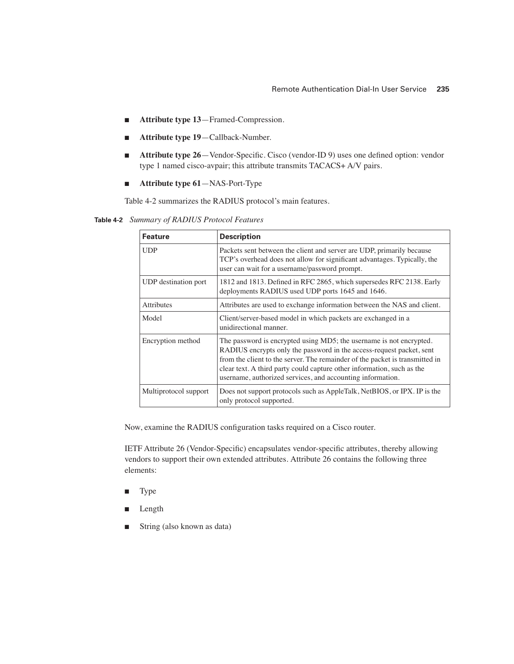- **Attribute type 13**—Framed-Compression.
- **Attribute type 19**—Callback-Number.
- **Attribute type 26**—Vendor-Specific. Cisco (vendor-ID 9) uses one defined option: vendor type 1 named cisco-avpair; this attribute transmits TACACS+ A/V pairs.
- **Attribute type 61** NAS-Port-Type

Table 4-2 summarizes the RADIUS protocol's main features.

**Table 4-2** *Summary of RADIUS Protocol Features*

| <b>Feature</b>        | <b>Description</b>                                                                                                                                                                                                                                                                                                                                                  |  |
|-----------------------|---------------------------------------------------------------------------------------------------------------------------------------------------------------------------------------------------------------------------------------------------------------------------------------------------------------------------------------------------------------------|--|
| <b>UDP</b>            | Packets sent between the client and server are UDP, primarily because<br>TCP's overhead does not allow for significant advantages. Typically, the<br>user can wait for a username/password prompt.                                                                                                                                                                  |  |
| UDP destination port  | 1812 and 1813. Defined in RFC 2865, which supersedes RFC 2138. Early<br>deployments RADIUS used UDP ports 1645 and 1646.                                                                                                                                                                                                                                            |  |
| <b>Attributes</b>     | Attributes are used to exchange information between the NAS and client.                                                                                                                                                                                                                                                                                             |  |
| Model                 | Client/server-based model in which packets are exchanged in a<br>unidirectional manner.                                                                                                                                                                                                                                                                             |  |
| Encryption method     | The password is encrypted using MD5; the username is not encrypted.<br>RADIUS encrypts only the password in the access-request packet, sent<br>from the client to the server. The remainder of the packet is transmitted in<br>clear text. A third party could capture other information, such as the<br>username, authorized services, and accounting information. |  |
| Multiprotocol support | Does not support protocols such as AppleTalk, NetBIOS, or IPX. IP is the<br>only protocol supported.                                                                                                                                                                                                                                                                |  |

Now, examine the RADIUS configuration tasks required on a Cisco router.

IETF Attribute 26 (Vendor-Specific) encapsulates vendor-specific attributes, thereby allowing vendors to support their own extended attributes. Attribute 26 contains the following three elements:

- Type
- Length
- String (also known as data)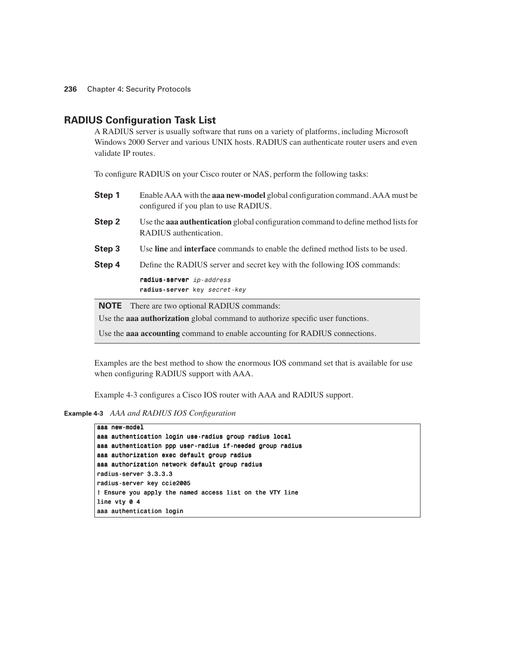### **RADIUS Configuration Task List**

A RADIUS server is usually software that runs on a variety of platforms, including Microsoft Windows 2000 Server and various UNIX hosts. RADIUS can authenticate router users and even validate IP routes.

To configure RADIUS on your Cisco router or NAS, perform the following tasks:

| Step 1                                                                                | Enable AAA with the <b>aaa new-model</b> global configuration command. AAA must be<br>configured if you plan to use RADIUS. |  |
|---------------------------------------------------------------------------------------|-----------------------------------------------------------------------------------------------------------------------------|--|
| Step 2                                                                                | Use the <b>aas authentication</b> global configuration command to define method lists for<br>RADIUS authentication.         |  |
| Step 3                                                                                | Use <b>line</b> and <b>interface</b> commands to enable the defined method lists to be used.                                |  |
| Step 4                                                                                | Define the RADIUS server and secret key with the following IOS commands:                                                    |  |
|                                                                                       | radius-server ip-address<br>radius-server key secret-key                                                                    |  |
|                                                                                       | <b>NOTE</b> There are two optional RADIUS commands:                                                                         |  |
| Use the <b>aaa authorization</b> global command to authorize specific user functions. |                                                                                                                             |  |

Use the **aaa accounting** command to enable accounting for RADIUS connections.

Examples are the best method to show the enormous IOS command set that is available for use when configuring RADIUS support with AAA.

Example 4-3 configures a Cisco IOS router with AAA and RADIUS support.

**Example 4-3** *AAA and RADIUS IOS Configuration*

```
aaa new-model
aaa authentication login use-radius group radius local
aaa authentication ppp user-radius if-needed group radius
aaa authorization exec default group radius
aaa authorization network default group radius
radius-server 3.3.3.3
radius-server key ccie2005
! Ensure you apply the named access list on the VTY line
line vty 0 4
aaa authentication login
```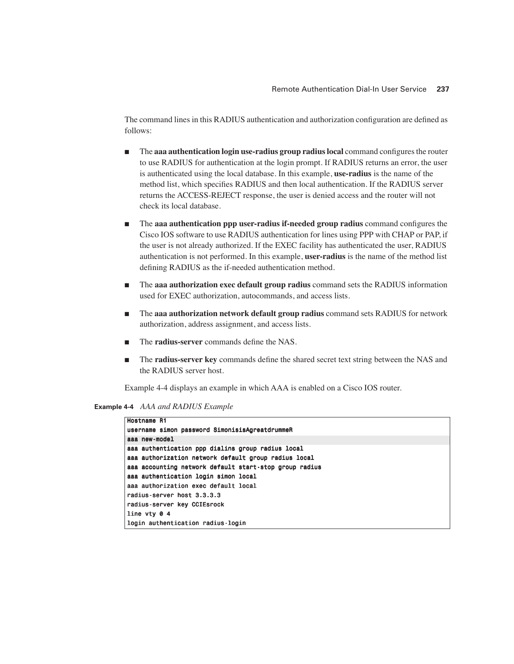The command lines in this RADIUS authentication and authorization configuration are defined as follows:

- The **aaa authentication login use-radius group radius local** command configures the router to use RADIUS for authentication at the login prompt. If RADIUS returns an error, the user is authenticated using the local database. In this example, **use-radius** is the name of the method list, which specifies RADIUS and then local authentication. If the RADIUS server returns the ACCESS-REJECT response, the user is denied access and the router will not check its local database.
- The **aaa authentication ppp user-radius if-needed group radius** command configures the Cisco IOS software to use RADIUS authentication for lines using PPP with CHAP or PAP, if the user is not already authorized. If the EXEC facility has authenticated the user, RADIUS authentication is not performed. In this example, **user-radius** is the name of the method list defining RADIUS as the if-needed authentication method.
- The **aaa authorization exec default group radius** command sets the RADIUS information used for EXEC authorization, autocommands, and access lists.
- The **aaa authorization network default group radius** command sets RADIUS for network authorization, address assignment, and access lists.
- The **radius-server** commands define the NAS.
- The **radius-server key** commands define the shared secret text string between the NAS and the RADIUS server host.

Example 4-4 displays an example in which AAA is enabled on a Cisco IOS router.

**Example 4-4** *AAA and RADIUS Example*

| <b>Hostname R1</b>                                     |
|--------------------------------------------------------|
| username simon password SimonisisAgreatdrummeR         |
| aaa new-model                                          |
| aaa authentication ppp dialins group radius local      |
| aaa authorization network default group radius local   |
| aaa accounting network default start-stop group radius |
| aaa authentication login simon local                   |
| aaa authorization exec default local                   |
| radius-server host 3.3.3.3                             |
| radius-server key CCIEsrock                            |
| line vtv 0 4                                           |
| login authentication radius login                      |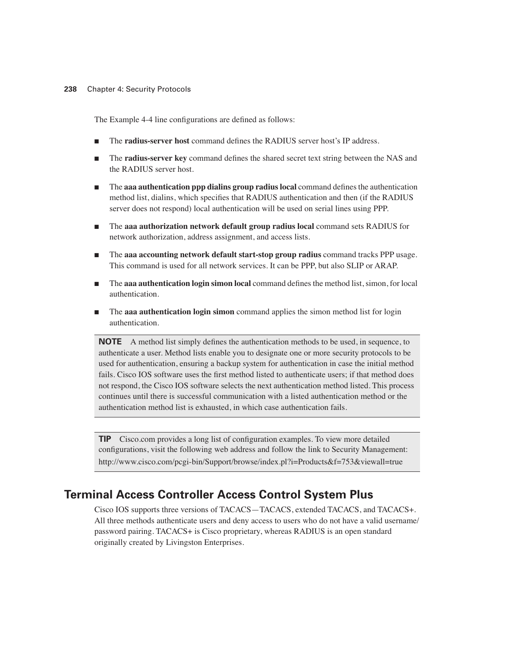The Example 4-4 line configurations are defined as follows:

- The **radius-server host** command defines the RADIUS server host's IP address.
- The **radius-server key** command defines the shared secret text string between the NAS and the RADIUS server host.
- The **aaa authentication ppp dialins group radius local** command defines the authentication method list, dialins, which specifies that RADIUS authentication and then (if the RADIUS server does not respond) local authentication will be used on serial lines using PPP.
- The **aaa authorization network default group radius local** command sets RADIUS for network authorization, address assignment, and access lists.
- The **aaa accounting network default start-stop group radius** command tracks PPP usage. This command is used for all network services. It can be PPP, but also SLIP or ARAP.
- The **aaa authentication login simon local** command defines the method list, simon, for local authentication.
- The **aaa authentication login simon** command applies the simon method list for login authentication.

**NOTE** A method list simply defines the authentication methods to be used, in sequence, to authenticate a user. Method lists enable you to designate one or more security protocols to be used for authentication, ensuring a backup system for authentication in case the initial method fails. Cisco IOS software uses the first method listed to authenticate users; if that method does not respond, the Cisco IOS software selects the next authentication method listed. This process continues until there is successful communication with a listed authentication method or the authentication method list is exhausted, in which case authentication fails.

**TIP** Cisco.com provides a long list of configuration examples. To view more detailed configurations, visit the following web address and follow the link to Security Management: http://www.cisco.com/pcgi-bin/Support/browse/index.pl?i=Products&f=753&viewall=true

### **Terminal Access Controller Access Control System Plus**

Cisco IOS supports three versions of TACACS—TACACS, extended TACACS, and TACACS+. All three methods authenticate users and deny access to users who do not have a valid username/ password pairing. TACACS+ is Cisco proprietary, whereas RADIUS is an open standard originally created by Livingston Enterprises.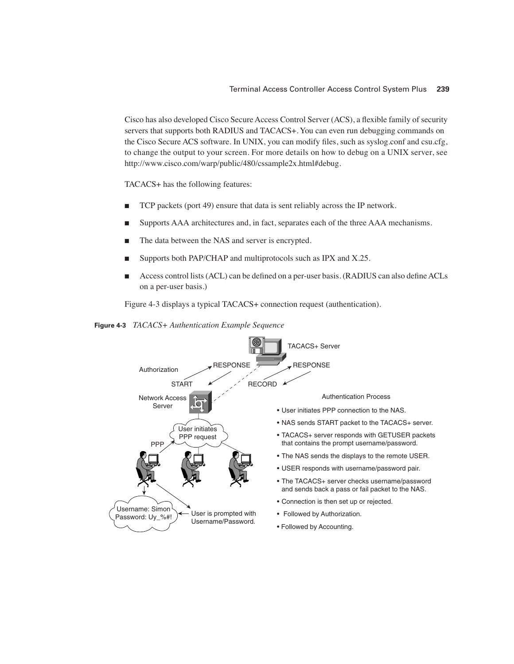Cisco has also developed Cisco Secure Access Control Server (ACS), a flexible family of security servers that supports both RADIUS and TACACS+. You can even run debugging commands on the Cisco Secure ACS software. In UNIX, you can modify files, such as syslog.conf and csu.cfg, to change the output to your screen. For more details on how to debug on a UNIX server, see http://www.cisco.com/warp/public/480/cssample2x.html#debug.

TACACS+ has the following features:

- TCP packets (port 49) ensure that data is sent reliably across the IP network.
- Supports AAA architectures and, in fact, separates each of the three AAA mechanisms.
- The data between the NAS and server is encrypted.
- Supports both PAP/CHAP and multiprotocols such as IPX and X.25.
- Access control lists (ACL) can be defined on a per-user basis. (RADIUS can also define ACLs on a per-user basis.)

Figure 4-3 displays a typical TACACS+ connection request (authentication).



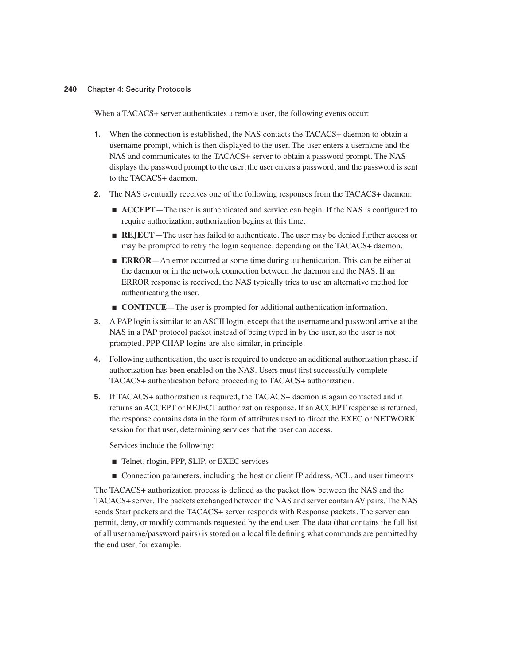When a TACACS+ server authenticates a remote user, the following events occur:

- **1.** When the connection is established, the NAS contacts the TACACS+ daemon to obtain a username prompt, which is then displayed to the user. The user enters a username and the NAS and communicates to the TACACS+ server to obtain a password prompt. The NAS displays the password prompt to the user, the user enters a password, and the password is sent to the TACACS+ daemon.
- **2.** The NAS eventually receives one of the following responses from the TACACS+ daemon:
	- **ACCEPT**—The user is authenticated and service can begin. If the NAS is configured to require authorization, authorization begins at this time.
	- **REJECT**—The user has failed to authenticate. The user may be denied further access or may be prompted to retry the login sequence, depending on the TACACS+ daemon.
	- **ERROR**—An error occurred at some time during authentication. This can be either at the daemon or in the network connection between the daemon and the NAS. If an ERROR response is received, the NAS typically tries to use an alternative method for authenticating the user.
	- **CONTINUE**—The user is prompted for additional authentication information.
- **3.** A PAP login is similar to an ASCII login, except that the username and password arrive at the NAS in a PAP protocol packet instead of being typed in by the user, so the user is not prompted. PPP CHAP logins are also similar, in principle.
- **4.** Following authentication, the user is required to undergo an additional authorization phase, if authorization has been enabled on the NAS. Users must first successfully complete TACACS+ authentication before proceeding to TACACS+ authorization.
- **5.** If TACACS+ authorization is required, the TACACS+ daemon is again contacted and it returns an ACCEPT or REJECT authorization response. If an ACCEPT response is returned, the response contains data in the form of attributes used to direct the EXEC or NETWORK session for that user, determining services that the user can access.

Services include the following:

- Telnet, rlogin, PPP, SLIP, or EXEC services
- Connection parameters, including the host or client IP address, ACL, and user timeouts

The TACACS+ authorization process is defined as the packet flow between the NAS and the TACACS+ server. The packets exchanged between the NAS and server contain AV pairs. The NAS sends Start packets and the TACACS+ server responds with Response packets. The server can permit, deny, or modify commands requested by the end user. The data (that contains the full list of all username/password pairs) is stored on a local file defining what commands are permitted by the end user, for example.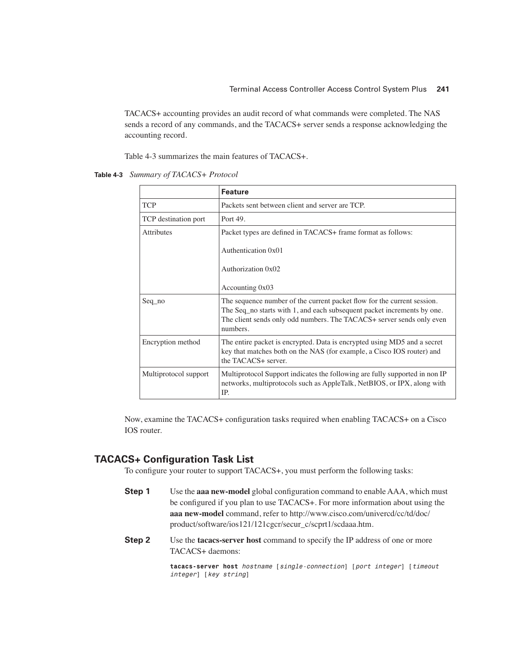TACACS+ accounting provides an audit record of what commands were completed. The NAS sends a record of any commands, and the TACACS+ server sends a response acknowledging the accounting record.

Table 4-3 summarizes the main features of TACACS+.

**Table 4-3** *Summary of TACACS+ Protocol*

|                       | <b>Feature</b>                                                                                                                                                                                                                          |  |
|-----------------------|-----------------------------------------------------------------------------------------------------------------------------------------------------------------------------------------------------------------------------------------|--|
| <b>TCP</b>            | Packets sent between client and server are TCP.                                                                                                                                                                                         |  |
| TCP destination port  | Port 49.                                                                                                                                                                                                                                |  |
| <b>Attributes</b>     | Packet types are defined in TACACS+ frame format as follows:                                                                                                                                                                            |  |
|                       | Authentication 0x01                                                                                                                                                                                                                     |  |
|                       | Authorization 0x02                                                                                                                                                                                                                      |  |
|                       | Accounting 0x03                                                                                                                                                                                                                         |  |
| Seq_no                | The sequence number of the current packet flow for the current session.<br>The Seq no starts with 1, and each subsequent packet increments by one.<br>The client sends only odd numbers. The TACACS+ server sends only even<br>numbers. |  |
| Encryption method     | The entire packet is encrypted. Data is encrypted using MD5 and a secret<br>key that matches both on the NAS (for example, a Cisco IOS router) and<br>the TACACS+ server.                                                               |  |
| Multiprotocol support | Multiprotocol Support indicates the following are fully supported in non IP<br>networks, multiprotocols such as AppleTalk, NetBIOS, or IPX, along with<br>IP.                                                                           |  |

Now, examine the TACACS+ configuration tasks required when enabling TACACS+ on a Cisco IOS router.

### **TACACS+ Configuration Task List**

To configure your router to support TACACS+, you must perform the following tasks:

- **Step 1** Use the **aaa new-model** global configuration command to enable AAA, which must be configured if you plan to use TACACS+. For more information about using the **aaa new-model** command, refer to http://www.cisco.com/univercd/cc/td/doc/ product/software/ios121/121cgcr/secur\_c/scprt1/scdaaa.htm.
- **Step 2** Use the **tacacs-server host** command to specify the IP address of one or more TACACS+ daemons:

*tacacs-server host hostname [single-connection] [port integer] [timeout integer] [key string]*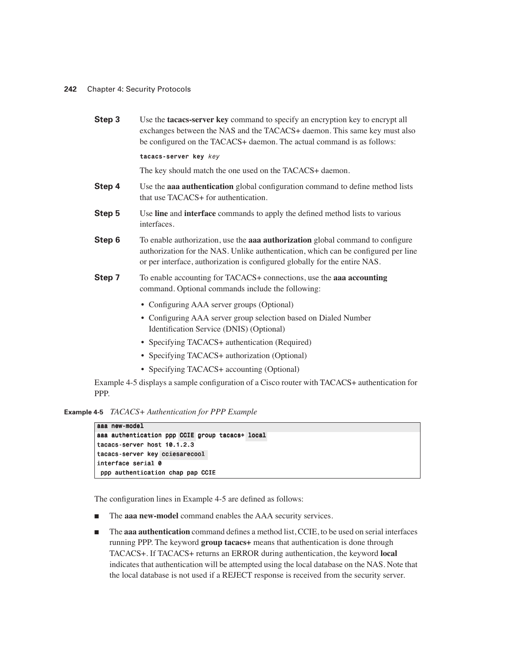| Step 3 | Use the tacacs-server key command to specify an encryption key to encrypt all<br>exchanges between the NAS and the TACACS+ daemon. This same key must also<br>be configured on the TACACS+ daemon. The actual command is as follows:                      |  |
|--------|-----------------------------------------------------------------------------------------------------------------------------------------------------------------------------------------------------------------------------------------------------------|--|
|        | tacacs-server key key                                                                                                                                                                                                                                     |  |
|        | The key should match the one used on the TACACS+ daemon.                                                                                                                                                                                                  |  |
| Step 4 | Use the <b>aaa authentication</b> global configuration command to define method lists<br>that use TACACS+ for authentication.                                                                                                                             |  |
| Step 5 | Use line and interface commands to apply the defined method lists to various<br>interfaces.                                                                                                                                                               |  |
| Step 6 | To enable authorization, use the <b>aaa authorization</b> global command to configure<br>authorization for the NAS. Unlike authentication, which can be configured per line<br>or per interface, authorization is configured globally for the entire NAS. |  |
| Step 7 | To enable accounting for TACACS+ connections, use the aaa accounting<br>command. Optional commands include the following:                                                                                                                                 |  |
|        | • Configuring AAA server groups (Optional)                                                                                                                                                                                                                |  |
|        | • Configuring AAA server group selection based on Dialed Number                                                                                                                                                                                           |  |
|        | Identification Service (DNIS) (Optional)                                                                                                                                                                                                                  |  |
|        | • Specifying TACACS+ authentication (Required)<br>• Specifying TACACS+ authorization (Optional)                                                                                                                                                           |  |
|        |                                                                                                                                                                                                                                                           |  |

• Specifying TACACS+ accounting (Optional)

Example 4-5 displays a sample configuration of a Cisco router with TACACS+ authentication for PPP.

**Example 4-5** *TACACS+ Authentication for PPP Example*

```
aaa new-model
aaa authentication ppp CCIE group tacacs+ local
tacacs-server host 10.1.2.3
tacacs-server key cciesarecool
interface serial 0
  ppp authentication chap pap CCIE
```
The configuration lines in Example 4-5 are defined as follows:

- The **aaa new-model** command enables the AAA security services.
- The **aaa authentication** command defines a method list, CCIE, to be used on serial interfaces running PPP. The keyword **group tacacs+** means that authentication is done through TACACS+. If TACACS+ returns an ERROR during authentication, the keyword **local** indicates that authentication will be attempted using the local database on the NAS. Note that the local database is not used if a REJECT response is received from the security server.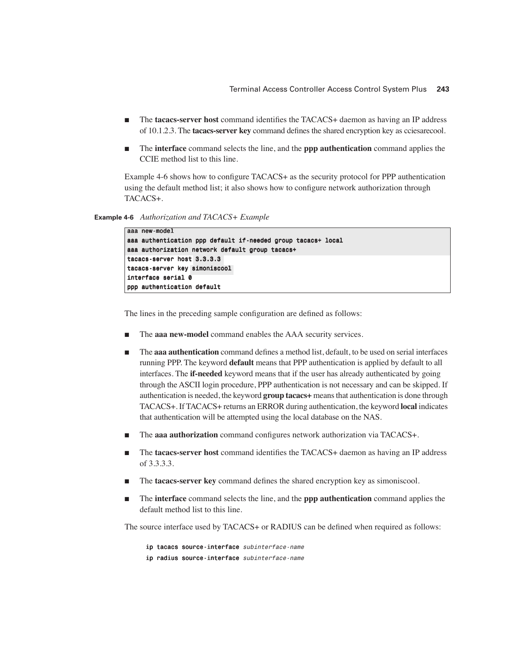- The **tacacs-server host** command identifies the TACACS+ daemon as having an IP address of 10.1.2.3. The **tacacs-server key** command defines the shared encryption key as cciesarecool.
- The **interface** command selects the line, and the **ppp authentication** command applies the CCIE method list to this line.

Example 4-6 shows how to configure TACACS+ as the security protocol for PPP authentication using the default method list; it also shows how to configure network authorization through TACACS+.

**Example 4-6** *Authorization and TACACS+ Example*

```
aaa new-model
aaa authentication ppp default if-needed group tacacs+ local
aaa authorization network default group tacacs+
tacacs-server host 3.3.3.3
tacacs-server key simoniscool
interface serial 0
ppp authentication default
```
The lines in the preceding sample configuration are defined as follows:

- The **aaa new-model** command enables the AAA security services.
- The **aaa authentication** command defines a method list, default, to be used on serial interfaces running PPP. The keyword **default** means that PPP authentication is applied by default to all interfaces. The **if-needed** keyword means that if the user has already authenticated by going through the ASCII login procedure, PPP authentication is not necessary and can be skipped. If authentication is needed, the keyword **group tacacs+** means that authentication is done through TACACS+. If TACACS+ returns an ERROR during authentication, the keyword **local** indicates that authentication will be attempted using the local database on the NAS.
- The **aaa authorization** command configures network authorization via TACACS+.
- The **tacacs-server host** command identifies the TACACS+ daemon as having an IP address of 3.3.3.3.
- The **tacacs-server key** command defines the shared encryption key as simoniscool.
- The **interface** command selects the line, and the **ppp authentication** command applies the default method list to this line.

The source interface used by TACACS+ or RADIUS can be defined when required as follows:

```
ip tacacs source-interface subinterface-name
ip radius source-interface subinterface-name
```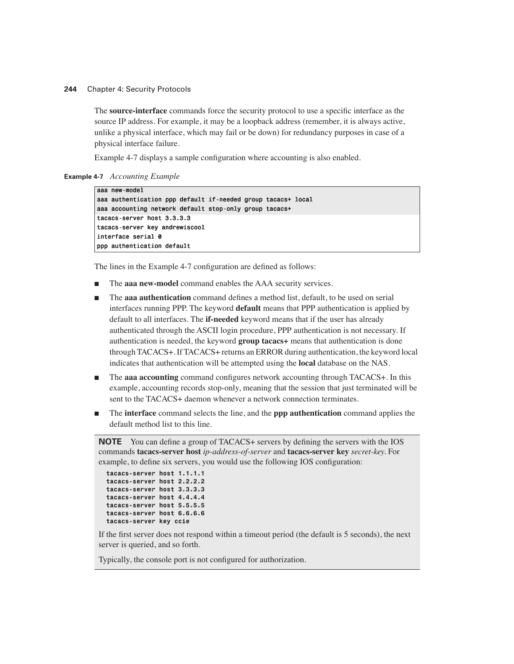The **source-interface** commands force the security protocol to use a specific interface as the source IP address. For example, it may be a loopback address (remember, it is always active, unlike a physical interface, which may fail or be down) for redundancy purposes in case of a physical interface failure.

Example 4-7 displays a sample configuration where accounting is also enabled.

**Example 4-7** *Accounting Example*

```
aaa new-model
aaa authentication ppp default if-needed group tacacs+ local
aaa accounting network default stop-only group tacacs+
tacacs-server host 3.3.3.3
tacacs-server key andrewiscool
interface serial 0
ppp authentication default
```
The lines in the Example 4-7 configuration are defined as follows:

- The **aaa new-model** command enables the AAA security services.
- The **aaa authentication** command defines a method list, default, to be used on serial interfaces running PPP. The keyword **default** means that PPP authentication is applied by default to all interfaces. The **if-needed** keyword means that if the user has already authenticated through the ASCII login procedure, PPP authentication is not necessary. If authentication is needed, the keyword **group tacacs+** means that authentication is done through TACACS+. If TACACS+ returns an ERROR during authentication, the keyword local indicates that authentication will be attempted using the **local** database on the NAS.
- The **aaa accounting** command configures network accounting through TACACS+. In this example, accounting records stop-only, meaning that the session that just terminated will be sent to the TACACS+ daemon whenever a network connection terminates.
- The **interface** command selects the line, and the **ppp authentication** command applies the default method list to this line.

**NOTE** You can define a group of TACACS+ servers by defining the servers with the IOS commands **tacacs-server host** *ip-address-of-server* and **tacacs-server key** *secret-key*. For example, to define six servers, you would use the following IOS configuration:

```
tacacs-server host 1.1.1.1
tacacs-server host 2.2.2.2 
tacacs-server host 3.3.3.3 
tacacs-server host 4.4.4.4 
tacacs-server host 5.5.5.5
tacacs-server host 6.6.6.6
tacacs-server key ccie
```
If the first server does not respond within a timeout period (the default is 5 seconds), the next server is queried, and so forth.

Typically, the console port is not configured for authorization.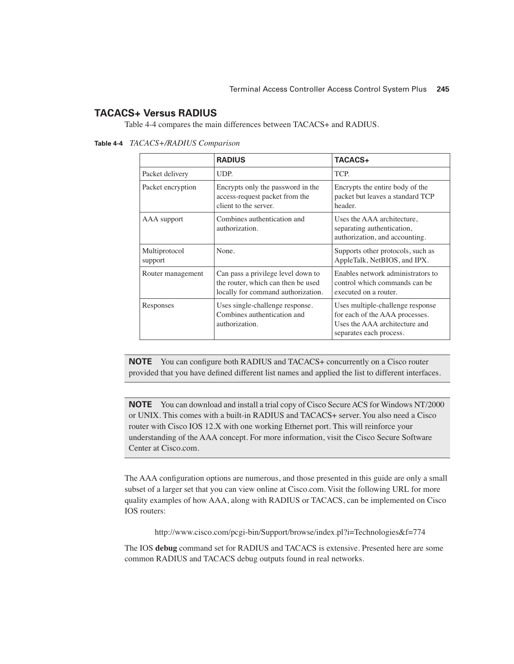### **TACACS+ Versus RADIUS**

Table 4-4 compares the main differences between TACACS+ and RADIUS.

**Table 4-4** *TACACS+/RADIUS Comparison*

|                          | <b>RADIUS</b>                                                                                                  | TACACS+                                                                                                                        |
|--------------------------|----------------------------------------------------------------------------------------------------------------|--------------------------------------------------------------------------------------------------------------------------------|
| Packet delivery          | UDP.                                                                                                           | TCP.                                                                                                                           |
| Packet encryption        | Encrypts only the password in the<br>access-request packet from the<br>client to the server.                   | Encrypts the entire body of the<br>packet but leaves a standard TCP<br>header.                                                 |
| AAA support              | Combines authentication and<br>authorization.                                                                  | Uses the AAA architecture,<br>separating authentication,<br>authorization, and accounting.                                     |
| Multiprotocol<br>support | None.                                                                                                          | Supports other protocols, such as<br>AppleTalk, NetBIOS, and IPX.                                                              |
| Router management        | Can pass a privilege level down to<br>the router, which can then be used<br>locally for command authorization. | Enables network administrators to<br>control which commands can be<br>executed on a router.                                    |
| Responses                | Uses single-challenge response.<br>Combines authentication and<br>authorization.                               | Uses multiple-challenge response<br>for each of the AAA processes.<br>Uses the AAA architecture and<br>separates each process. |

**NOTE** You can configure both RADIUS and TACACS+ concurrently on a Cisco router provided that you have defined different list names and applied the list to different interfaces.

**NOTE** You can download and install a trial copy of Cisco Secure ACS for Windows NT/2000 or UNIX. This comes with a built-in RADIUS and TACACS+ server. You also need a Cisco router with Cisco IOS 12.X with one working Ethernet port. This will reinforce your understanding of the AAA concept. For more information, visit the Cisco Secure Software Center at Cisco.com.

The AAA configuration options are numerous, and those presented in this guide are only a small subset of a larger set that you can view online at Cisco.com. Visit the following URL for more quality examples of how AAA, along with RADIUS or TACACS, can be implemented on Cisco IOS routers:

http://www.cisco.com/pcgi-bin/Support/browse/index.pl?i=Technologies&f=774

The IOS **debug** command set for RADIUS and TACACS is extensive. Presented here are some common RADIUS and TACACS debug outputs found in real networks.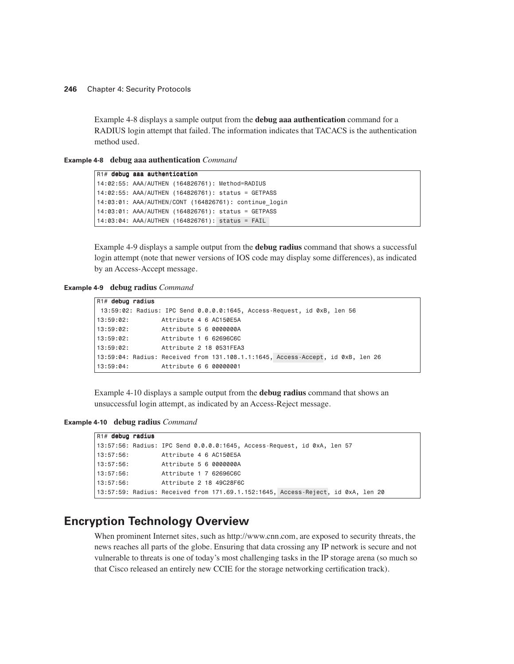Example 4-8 displays a sample output from the **debug aaa authentication** command for a RADIUS login attempt that failed. The information indicates that TACACS is the authentication method used.

**Example 4-8 debug aaa authentication** *Command*

```
R1# debug aaa authentication
14:02:55: AAA/AUTHEN (164826761): Method=RADIUS
14:02:55: AAA/AUTHEN (164826761): status = GETPASS
14:03:01: AAA/AUTHEN/CONT (164826761): continue_login
14:03:01: AAA/AUTHEN (164826761): status = GETPASS
14:03:04: AAA/AUTHEN (164826761): status = FAIL
```
Example 4-9 displays a sample output from the **debug radius** command that shows a successful login attempt (note that newer versions of IOS code may display some differences), as indicated by an Access-Accept message.

**Example 4-9 debug radius** *Command*

```
R1# debug radius
 13:59:02: Radius: IPC Send 0.0.0.0:1645, Access-Request, id 0xB, len 56
13:59:02: Attribute 4 6 AC150E5A
13:59:02: Attribute 5 6 0000000A
13:59:02: Attribute 1 6 62696C6C
13:59:02: Attribute 2 18 0531FEA3
13:59:04: Radius: Received from 131.108.1.1:1645, Access-Accept, id 0xB, len 26
13:59:04: Attribute 6 6 00000001
```
Example 4-10 displays a sample output from the **debug radius** command that shows an unsuccessful login attempt, as indicated by an Access-Reject message.

**Example 4-10 debug radius** *Command*

```
R1# debug radius
13:57:56: Radius: IPC Send 0.0.0.0:1645, Access-Request, id 0xA, len 57
13:57:56: Attribute 4 6 AC150E5A
13:57:56: Attribute 5 6 0000000A
13:57:56: Attribute 1 7 62696C6C
13:57:56: Attribute 2 18 49C28F6C
13:57:59: Radius: Received from 171.69.1.152:1645, Access-Reject, id 0xA, len 20
```
### **Encryption Technology Overview**

When prominent Internet sites, such as http://www.cnn.com, are exposed to security threats, the news reaches all parts of the globe. Ensuring that data crossing any IP network is secure and not vulnerable to threats is one of today's most challenging tasks in the IP storage arena (so much so that Cisco released an entirely new CCIE for the storage networking certification track).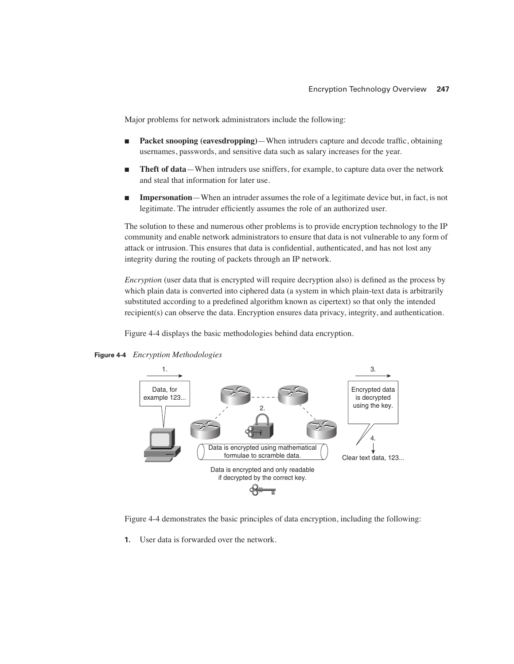Major problems for network administrators include the following:

- **Packet snooping (eavesdropping)**—When intruders capture and decode traffic, obtaining usernames, passwords, and sensitive data such as salary increases for the year.
- **Theft of data**—When intruders use sniffers, for example, to capture data over the network and steal that information for later use.
- **Impersonation**—When an intruder assumes the role of a legitimate device but, in fact, is not legitimate. The intruder efficiently assumes the role of an authorized user.

The solution to these and numerous other problems is to provide encryption technology to the IP community and enable network administrators to ensure that data is not vulnerable to any form of attack or intrusion. This ensures that data is confidential, authenticated, and has not lost any integrity during the routing of packets through an IP network.

*Encryption* (user data that is encrypted will require decryption also) is defined as the process by which plain data is converted into ciphered data (a system in which plain-text data is arbitrarily substituted according to a predefined algorithm known as cipertext) so that only the intended recipient(s) can observe the data. Encryption ensures data privacy, integrity, and authentication.

Figure 4-4 displays the basic methodologies behind data encryption.



**Figure 4-4** *Encryption Methodologies*

Figure 4-4 demonstrates the basic principles of data encryption, including the following:

**1.** User data is forwarded over the network.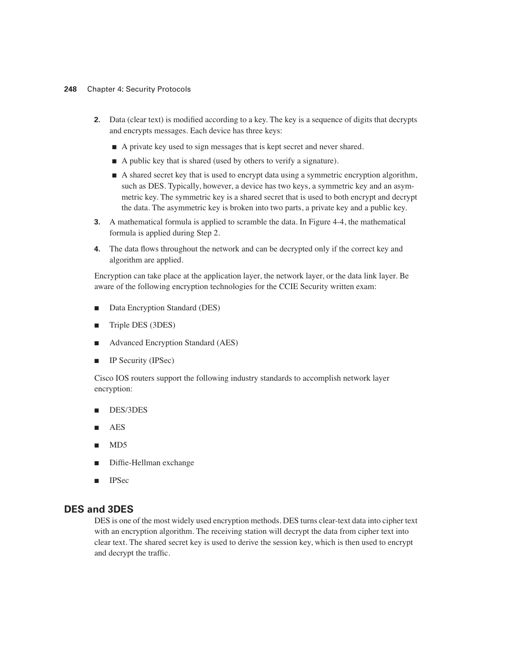- **2.** Data (clear text) is modified according to a key. The key is a sequence of digits that decrypts and encrypts messages. Each device has three keys:
	- A private key used to sign messages that is kept secret and never shared.
	- A public key that is shared (used by others to verify a signature).
	- A shared secret key that is used to encrypt data using a symmetric encryption algorithm, such as DES. Typically, however, a device has two keys, a symmetric key and an asymmetric key. The symmetric key is a shared secret that is used to both encrypt and decrypt the data. The asymmetric key is broken into two parts, a private key and a public key.
- **3.** A mathematical formula is applied to scramble the data. In Figure 4-4, the mathematical formula is applied during Step 2.
- **4.** The data flows throughout the network and can be decrypted only if the correct key and algorithm are applied.

Encryption can take place at the application layer, the network layer, or the data link layer. Be aware of the following encryption technologies for the CCIE Security written exam:

- Data Encryption Standard (DES)
- Triple DES (3DES)
- Advanced Encryption Standard (AES)
- IP Security (IPSec)

Cisco IOS routers support the following industry standards to accomplish network layer encryption:

- DES/3DES
- **AES**
- MD<sub>5</sub>
- Diffie-Hellman exchange
- IPSec

### **DES and 3DES**

DES is one of the most widely used encryption methods. DES turns clear-text data into cipher text with an encryption algorithm. The receiving station will decrypt the data from cipher text into clear text. The shared secret key is used to derive the session key, which is then used to encrypt and decrypt the traffic.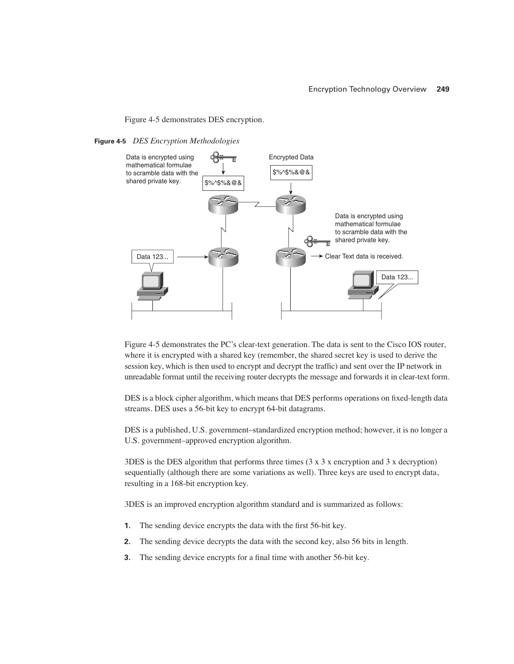Figure 4-5 demonstrates DES encryption.

**Figure 4-5** *DES Encryption Methodologies*



Figure 4-5 demonstrates the PC's clear-text generation. The data is sent to the Cisco IOS router, where it is encrypted with a shared key (remember, the shared secret key is used to derive the session key, which is then used to encrypt and decrypt the traffic) and sent over the IP network in unreadable format until the receiving router decrypts the message and forwards it in clear-text form.

DES is a block cipher algorithm, which means that DES performs operations on fixed-length data streams. DES uses a 56-bit key to encrypt 64-bit datagrams.

DES is a published, U.S. government–standardized encryption method; however, it is no longer a U.S. government–approved encryption algorithm.

3DES is the DES algorithm that performs three times  $(3 \times 3 \times \text{encryption}$  and  $3 \times \text{decryption})$ sequentially (although there are some variations as well). Three keys are used to encrypt data, resulting in a 168-bit encryption key.

3DES is an improved encryption algorithm standard and is summarized as follows:

- **1.** The sending device encrypts the data with the first 56-bit key.
- **2.** The sending device decrypts the data with the second key, also 56 bits in length.
- **3.** The sending device encrypts for a final time with another 56-bit key.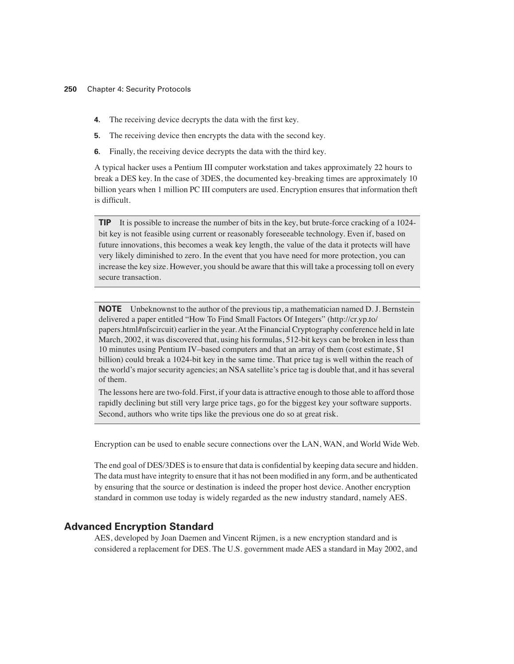- **4.** The receiving device decrypts the data with the first key.
- **5.** The receiving device then encrypts the data with the second key.
- **6.** Finally, the receiving device decrypts the data with the third key.

A typical hacker uses a Pentium III computer workstation and takes approximately 22 hours to break a DES key. In the case of 3DES, the documented key-breaking times are approximately 10 billion years when 1 million PC III computers are used. Encryption ensures that information theft is difficult.

**TIP** It is possible to increase the number of bits in the key, but brute-force cracking of a 1024bit key is not feasible using current or reasonably foreseeable technology. Even if, based on future innovations, this becomes a weak key length, the value of the data it protects will have very likely diminished to zero. In the event that you have need for more protection, you can increase the key size. However, you should be aware that this will take a processing toll on every secure transaction.

**NOTE** Unbeknownst to the author of the previous tip, a mathematician named D. J. Bernstein delivered a paper entitled "How To Find Small Factors Of Integers" (http://cr.yp.to/ papers.html#nfscircuit) earlier in the year. At the Financial Cryptography conference held in late March, 2002, it was discovered that, using his formulas, 512-bit keys can be broken in less than 10 minutes using Pentium IV–based computers and that an array of them (cost estimate, \$1 billion) could break a 1024-bit key in the same time. That price tag is well within the reach of the world's major security agencies; an NSA satellite's price tag is double that, and it has several of them.

The lessons here are two-fold. First, if your data is attractive enough to those able to afford those rapidly declining but still very large price tags, go for the biggest key your software supports. Second, authors who write tips like the previous one do so at great risk.

Encryption can be used to enable secure connections over the LAN, WAN, and World Wide Web.

The end goal of DES/3DES is to ensure that data is confidential by keeping data secure and hidden. The data must have integrity to ensure that it has not been modified in any form, and be authenticated by ensuring that the source or destination is indeed the proper host device. Another encryption standard in common use today is widely regarded as the new industry standard, namely AES.

### **Advanced Encryption Standard**

AES, developed by Joan Daemen and Vincent Rijmen, is a new encryption standard and is considered a replacement for DES. The U.S. government made AES a standard in May 2002, and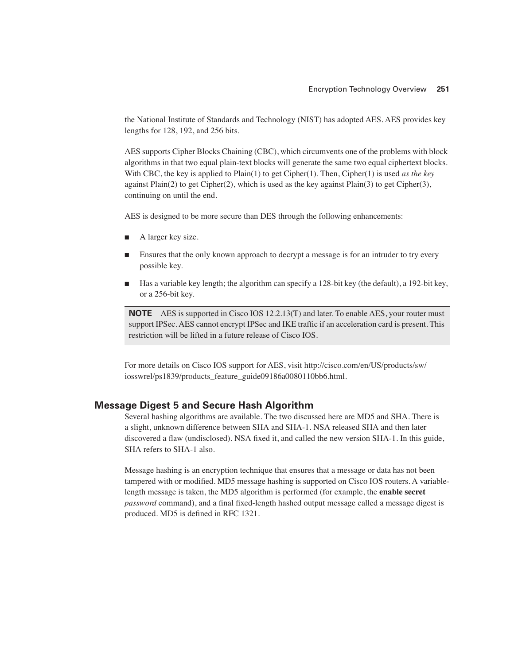the National Institute of Standards and Technology (NIST) has adopted AES. AES provides key lengths for 128, 192, and 256 bits.

AES supports Cipher Blocks Chaining (CBC), which circumvents one of the problems with block algorithms in that two equal plain-text blocks will generate the same two equal ciphertext blocks. With CBC, the key is applied to Plain(1) to get Cipher(1). Then, Cipher(1) is used *as the key* against Plain(2) to get Cipher(2), which is used as the key against Plain(3) to get Cipher(3), continuing on until the end.

AES is designed to be more secure than DES through the following enhancements:

- A larger key size.
- Ensures that the only known approach to decrypt a message is for an intruder to try every possible key.
- Has a variable key length; the algorithm can specify a 128-bit key (the default), a 192-bit key, or a 256-bit key.

**NOTE** AES is supported in Cisco IOS 12.2.13(T) and later. To enable AES, your router must support IPSec. AES cannot encrypt IPSec and IKE traffic if an acceleration card is present. This restriction will be lifted in a future release of Cisco IOS.

For more details on Cisco IOS support for AES, visit http://cisco.com/en/US/products/sw/ iosswrel/ps1839/products feature guide09186a0080110bb6.html.

### **Message Digest 5 and Secure Hash Algorithm**

Several hashing algorithms are available. The two discussed here are MD5 and SHA. There is a slight, unknown difference between SHA and SHA-1. NSA released SHA and then later discovered a flaw (undisclosed). NSA fixed it, and called the new version SHA-1. In this guide, SHA refers to SHA-1 also.

Message hashing is an encryption technique that ensures that a message or data has not been tampered with or modified. MD5 message hashing is supported on Cisco IOS routers. A variablelength message is taken, the MD5 algorithm is performed (for example, the **enable secret**  *password* command), and a final fixed-length hashed output message called a message digest is produced. MD5 is defined in RFC 1321.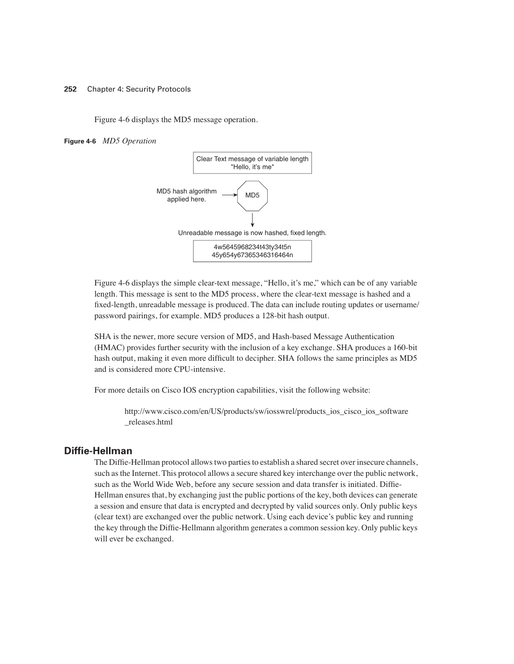Figure 4-6 displays the MD5 message operation.

**Figure 4-6** *MD5 Operation*



Figure 4-6 displays the simple clear-text message, "Hello, it's me," which can be of any variable length. This message is sent to the MD5 process, where the clear-text message is hashed and a fixed-length, unreadable message is produced. The data can include routing updates or username/ password pairings, for example. MD5 produces a 128-bit hash output.

SHA is the newer, more secure version of MD5, and Hash-based Message Authentication (HMAC) provides further security with the inclusion of a key exchange. SHA produces a 160-bit hash output, making it even more difficult to decipher. SHA follows the same principles as MD5 and is considered more CPU-intensive.

For more details on Cisco IOS encryption capabilities, visit the following website:

http://www.cisco.com/en/US/products/sw/iosswrel/products\_ios\_cisco\_ios\_software \_releases.html

### **Diffie-Hellman**

The Diffie-Hellman protocol allows two parties to establish a shared secret over insecure channels, such as the Internet. This protocol allows a secure shared key interchange over the public network, such as the World Wide Web, before any secure session and data transfer is initiated. Diffie-Hellman ensures that, by exchanging just the public portions of the key, both devices can generate a session and ensure that data is encrypted and decrypted by valid sources only. Only public keys (clear text) are exchanged over the public network. Using each device's public key and running the key through the Diffie-Hellmann algorithm generates a common session key. Only public keys will ever be exchanged.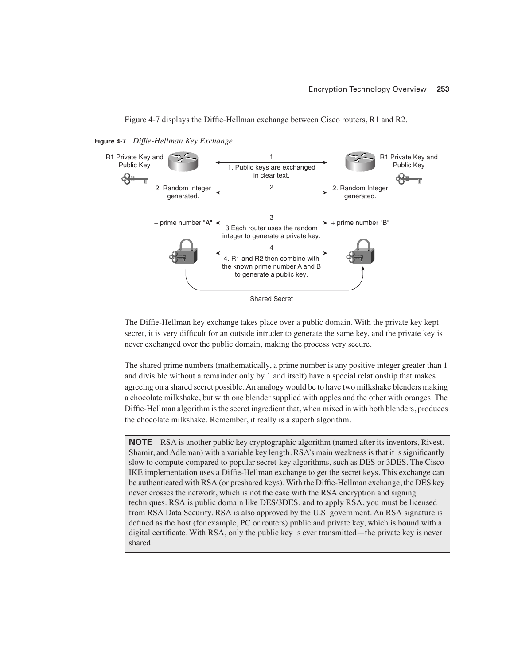

**Figure 4-7** *Diffie-Hellman Key Exchange*



The Diffie-Hellman key exchange takes place over a public domain. With the private key kept secret, it is very difficult for an outside intruder to generate the same key, and the private key is never exchanged over the public domain, making the process very secure.

The shared prime numbers (mathematically, a prime number is any positive integer greater than 1 and divisible without a remainder only by 1 and itself) have a special relationship that makes agreeing on a shared secret possible. An analogy would be to have two milkshake blenders making a chocolate milkshake, but with one blender supplied with apples and the other with oranges. The Diffie-Hellman algorithm is the secret ingredient that, when mixed in with both blenders, produces the chocolate milkshake. Remember, it really is a superb algorithm.

**NOTE** RSA is another public key cryptographic algorithm (named after its inventors, Rivest, Shamir, and Adleman) with a variable key length. RSA's main weakness is that it is significantly slow to compute compared to popular secret-key algorithms, such as DES or 3DES. The Cisco IKE implementation uses a Diffie-Hellman exchange to get the secret keys. This exchange can be authenticated with RSA (or preshared keys). With the Diffie-Hellman exchange, the DES key never crosses the network, which is not the case with the RSA encryption and signing techniques. RSA is public domain like DES/3DES, and to apply RSA, you must be licensed from RSA Data Security. RSA is also approved by the U.S. government. An RSA signature is defined as the host (for example, PC or routers) public and private key, which is bound with a digital certificate. With RSA, only the public key is ever transmitted—the private key is never shared.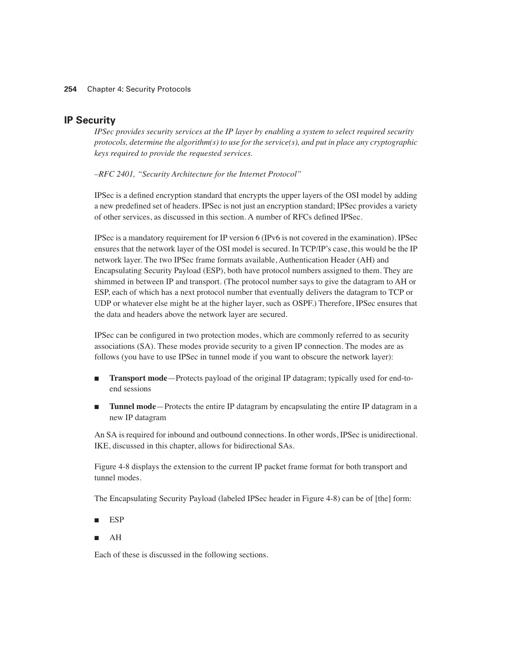### **IP Security**

*IPSec provides security services at the IP layer by enabling a system to select required security protocols, determine the algorithm(s) to use for the service(s), and put in place any cryptographic keys required to provide the requested services.*

*–RFC 2401, "Security Architecture for the Internet Protocol"*

IPSec is a defined encryption standard that encrypts the upper layers of the OSI model by adding a new predefined set of headers. IPSec is not just an encryption standard; IPSec provides a variety of other services, as discussed in this section. A number of RFCs defined IPSec.

IPSec is a mandatory requirement for IP version 6 (IPv6 is not covered in the examination). IPSec ensures that the network layer of the OSI model is secured. In TCP/IP's case, this would be the IP network layer. The two IPSec frame formats available, Authentication Header (AH) and Encapsulating Security Payload (ESP), both have protocol numbers assigned to them. They are shimmed in between IP and transport. (The protocol number says to give the datagram to AH or ESP, each of which has a next protocol number that eventually delivers the datagram to TCP or UDP or whatever else might be at the higher layer, such as OSPF.) Therefore, IPSec ensures that the data and headers above the network layer are secured.

IPSec can be configured in two protection modes, which are commonly referred to as security associations (SA). These modes provide security to a given IP connection. The modes are as follows (you have to use IPSec in tunnel mode if you want to obscure the network layer):

- **Transport mode**—Protects payload of the original IP datagram; typically used for end-toend sessions
- **Tunnel mode**—Protects the entire IP datagram by encapsulating the entire IP datagram in a new IP datagram

An SA is required for inbound and outbound connections. In other words, IPSec is unidirectional. IKE, discussed in this chapter, allows for bidirectional SAs.

Figure 4-8 displays the extension to the current IP packet frame format for both transport and tunnel modes.

The Encapsulating Security Payload (labeled IPSec header in Figure 4-8) can be of [the] form:

- **ESP**
- AH

Each of these is discussed in the following sections.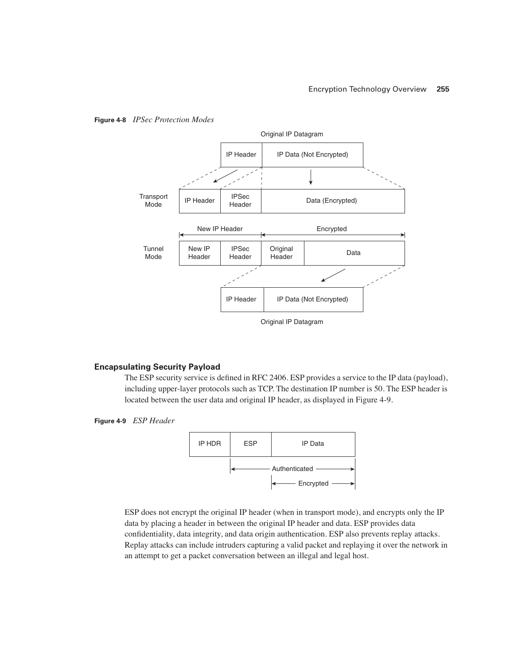

**Figure 4-8** *IPSec Protection Modes*

### **Encapsulating Security Payload**

The ESP security service is defined in RFC 2406. ESP provides a service to the IP data (payload), including upper-layer protocols such as TCP. The destination IP number is 50. The ESP header is located between the user data and original IP header, as displayed in Figure 4-9.





ESP does not encrypt the original IP header (when in transport mode), and encrypts only the IP data by placing a header in between the original IP header and data. ESP provides data confidentiality, data integrity, and data origin authentication. ESP also prevents replay attacks. Replay attacks can include intruders capturing a valid packet and replaying it over the network in an attempt to get a packet conversation between an illegal and legal host.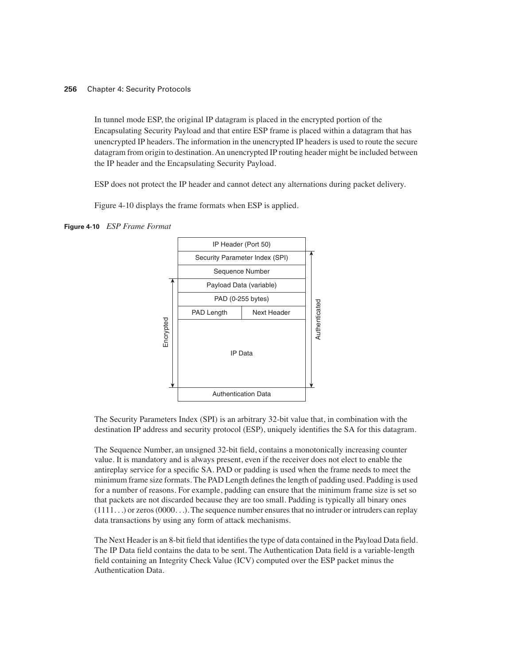In tunnel mode ESP, the original IP datagram is placed in the encrypted portion of the Encapsulating Security Payload and that entire ESP frame is placed within a datagram that has unencrypted IP headers. The information in the unencrypted IP headers is used to route the secure datagram from origin to destination. An unencrypted IP routing header might be included between the IP header and the Encapsulating Security Payload.

ESP does not protect the IP header and cannot detect any alternations during packet delivery.

Figure 4-10 displays the frame formats when ESP is applied.

**Figure 4-10** *ESP Frame Format*



The Security Parameters Index (SPI) is an arbitrary 32-bit value that, in combination with the destination IP address and security protocol (ESP), uniquely identifies the SA for this datagram.

The Sequence Number, an unsigned 32-bit field, contains a monotonically increasing counter value. It is mandatory and is always present, even if the receiver does not elect to enable the antireplay service for a specific SA. PAD or padding is used when the frame needs to meet the minimum frame size formats. The PAD Length defines the length of padding used. Padding is used for a number of reasons. For example, padding can ensure that the minimum frame size is set so that packets are not discarded because they are too small. Padding is typically all binary ones (1111. . .) or zeros (0000. . .). The sequence number ensures that no intruder or intruders can replay data transactions by using any form of attack mechanisms.

The Next Header is an 8-bit field that identifies the type of data contained in the Payload Data field. The IP Data field contains the data to be sent. The Authentication Data field is a variable-length field containing an Integrity Check Value (ICV) computed over the ESP packet minus the Authentication Data.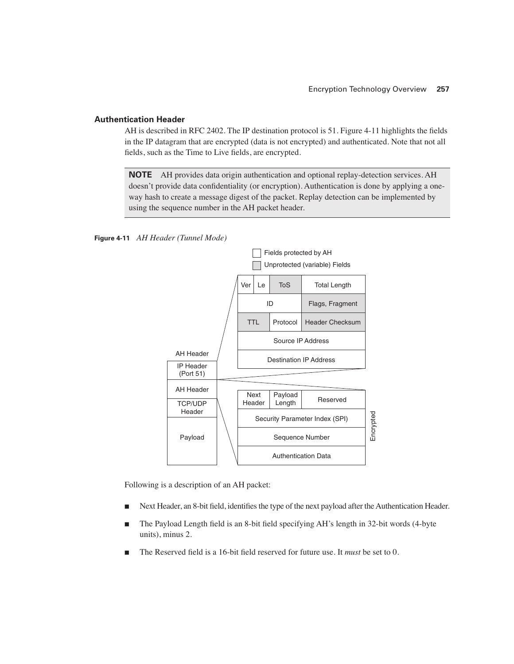### **Authentication Header**

AH is described in RFC 2402. The IP destination protocol is 51. Figure 4-11 highlights the fields in the IP datagram that are encrypted (data is not encrypted) and authenticated. Note that not all fields, such as the Time to Live fields, are encrypted.

**NOTE** AH provides data origin authentication and optional replay-detection services. AH doesn't provide data confidentiality (or encryption). Authentication is done by applying a oneway hash to create a message digest of the packet. Replay detection can be implemented by using the sequence number in the AH packet header.

**Figure 4-11** *AH Header (Tunnel Mode)*



Following is a description of an AH packet:

- Next Header, an 8-bit field, identifies the type of the next payload after the Authentication Header.
- The Payload Length field is an 8-bit field specifying AH's length in 32-bit words (4-byte units), minus 2.
- The Reserved field is a 16-bit field reserved for future use. It *must* be set to 0.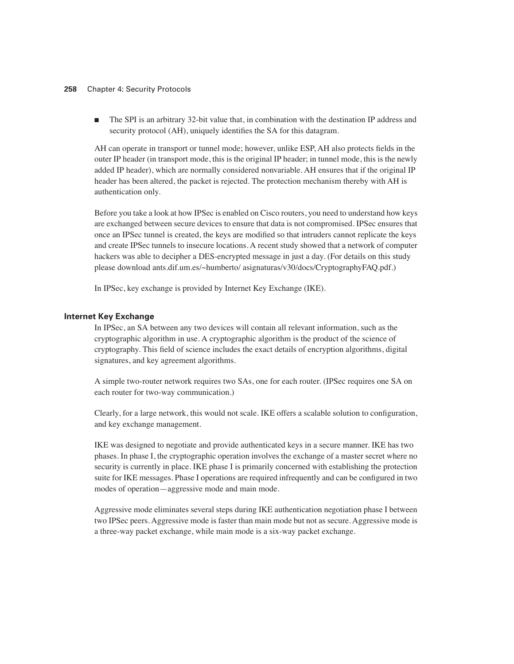■ The SPI is an arbitrary 32-bit value that, in combination with the destination IP address and security protocol (AH), uniquely identifies the SA for this datagram.

AH can operate in transport or tunnel mode; however, unlike ESP, AH also protects fields in the outer IP header (in transport mode, this is the original IP header; in tunnel mode, this is the newly added IP header), which are normally considered nonvariable. AH ensures that if the original IP header has been altered, the packet is rejected. The protection mechanism thereby with AH is authentication only.

Before you take a look at how IPSec is enabled on Cisco routers, you need to understand how keys are exchanged between secure devices to ensure that data is not compromised. IPSec ensures that once an IPSec tunnel is created, the keys are modified so that intruders cannot replicate the keys and create IPSec tunnels to insecure locations. A recent study showed that a network of computer hackers was able to decipher a DES-encrypted message in just a day. (For details on this study please download ants.dif.um.es/~humberto/ asignaturas/v30/docs/CryptographyFAQ.pdf.)

In IPSec, key exchange is provided by Internet Key Exchange (IKE).

### **Internet Key Exchange**

In IPSec, an SA between any two devices will contain all relevant information, such as the cryptographic algorithm in use. A cryptographic algorithm is the product of the science of cryptography. This field of science includes the exact details of encryption algorithms, digital signatures, and key agreement algorithms.

A simple two-router network requires two SAs, one for each router. (IPSec requires one SA on each router for two-way communication.)

Clearly, for a large network, this would not scale. IKE offers a scalable solution to configuration, and key exchange management.

IKE was designed to negotiate and provide authenticated keys in a secure manner. IKE has two phases. In phase I, the cryptographic operation involves the exchange of a master secret where no security is currently in place. IKE phase I is primarily concerned with establishing the protection suite for IKE messages. Phase I operations are required infrequently and can be configured in two modes of operation—aggressive mode and main mode.

Aggressive mode eliminates several steps during IKE authentication negotiation phase I between two IPSec peers. Aggressive mode is faster than main mode but not as secure. Aggressive mode is a three-way packet exchange, while main mode is a six-way packet exchange.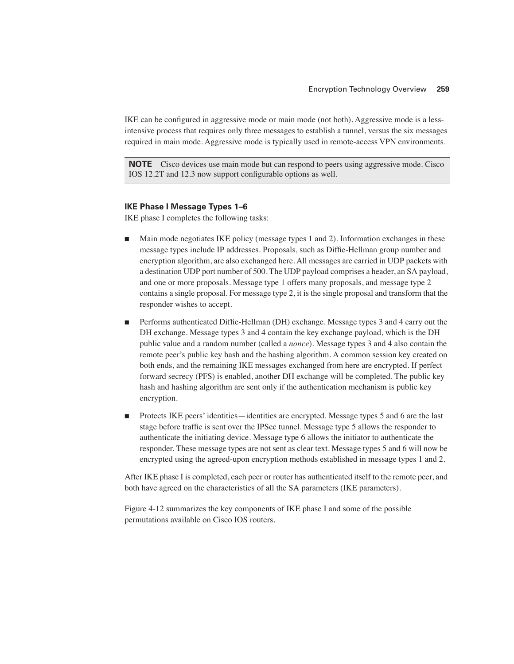IKE can be configured in aggressive mode or main mode (not both). Aggressive mode is a lessintensive process that requires only three messages to establish a tunnel, versus the six messages required in main mode. Aggressive mode is typically used in remote-access VPN environments.

**NOTE** Cisco devices use main mode but can respond to peers using aggressive mode. Cisco IOS 12.2T and 12.3 now support configurable options as well.

### **IKE Phase I Message Types 1–6**

IKE phase I completes the following tasks:

- Main mode negotiates IKE policy (message types 1 and 2). Information exchanges in these message types include IP addresses. Proposals, such as Diffie-Hellman group number and encryption algorithm, are also exchanged here. All messages are carried in UDP packets with a destination UDP port number of 500. The UDP payload comprises a header, an SA payload, and one or more proposals. Message type 1 offers many proposals, and message type 2 contains a single proposal. For message type 2, it is the single proposal and transform that the responder wishes to accept.
- Performs authenticated Diffie-Hellman (DH) exchange. Message types 3 and 4 carry out the DH exchange. Message types 3 and 4 contain the key exchange payload, which is the DH public value and a random number (called a *nonce*). Message types 3 and 4 also contain the remote peer's public key hash and the hashing algorithm. A common session key created on both ends, and the remaining IKE messages exchanged from here are encrypted. If perfect forward secrecy (PFS) is enabled, another DH exchange will be completed. The public key hash and hashing algorithm are sent only if the authentication mechanism is public key encryption.
- Protects IKE peers' identities—identities are encrypted. Message types 5 and 6 are the last stage before traffic is sent over the IPSec tunnel. Message type 5 allows the responder to authenticate the initiating device. Message type 6 allows the initiator to authenticate the responder. These message types are not sent as clear text. Message types 5 and 6 will now be encrypted using the agreed-upon encryption methods established in message types 1 and 2.

After IKE phase I is completed, each peer or router has authenticated itself to the remote peer, and both have agreed on the characteristics of all the SA parameters (IKE parameters).

Figure 4-12 summarizes the key components of IKE phase I and some of the possible permutations available on Cisco IOS routers.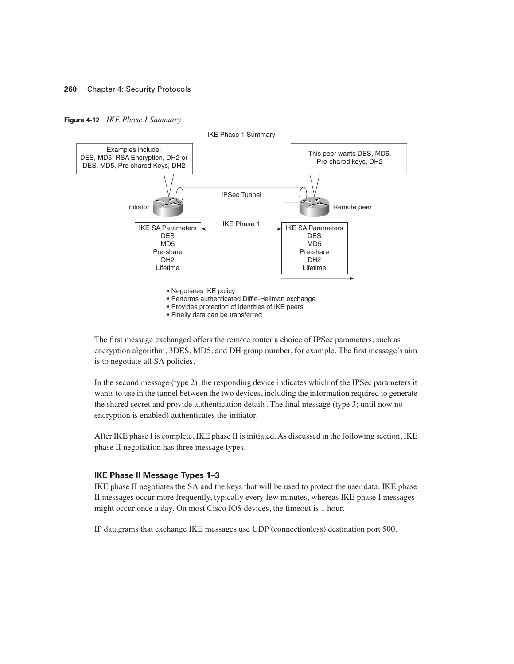#### **Figure 4-12** *IKE Phase I Summary*



• Finally data can be transferred

The first message exchanged offers the remote router a choice of IPSec parameters, such as encryption algorithm, 3DES, MD5, and DH group number, for example. The first message's aim is to negotiate all SA policies.

In the second message (type 2), the responding device indicates which of the IPSec parameters it wants to use in the tunnel between the two devices, including the information required to generate the shared secret and provide authentication details. The final message (type 3; until now no encryption is enabled) authenticates the initiator.

After IKE phase I is complete, IKE phase II is initiated. As discussed in the following section, IKE phase II negotiation has three message types.

### **IKE Phase II Message Types 1–3**

IKE phase II negotiates the SA and the keys that will be used to protect the user data. IKE phase II messages occur more frequently, typically every few minutes, whereas IKE phase I messages might occur once a day. On most Cisco IOS devices, the timeout is 1 hour.

IP datagrams that exchange IKE messages use UDP (connectionless) destination port 500.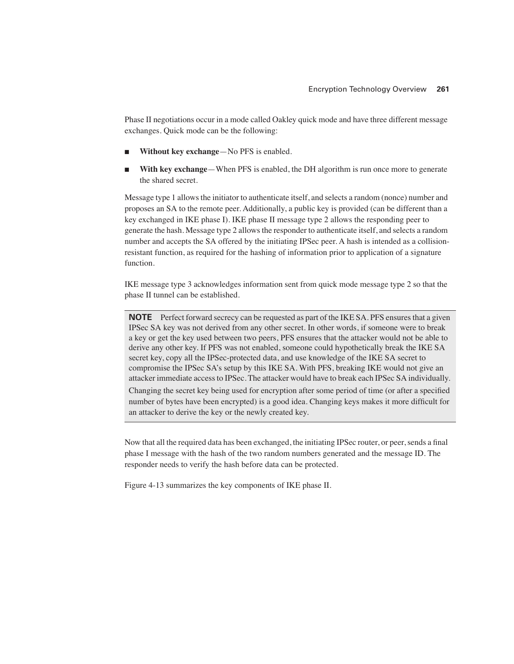Phase II negotiations occur in a mode called Oakley quick mode and have three different message exchanges. Quick mode can be the following:

- Without key exchange-No PFS is enabled.
- With key exchange—When PFS is enabled, the DH algorithm is run once more to generate the shared secret.

Message type 1 allows the initiator to authenticate itself, and selects a random (nonce) number and proposes an SA to the remote peer. Additionally, a public key is provided (can be different than a key exchanged in IKE phase I). IKE phase II message type 2 allows the responding peer to generate the hash. Message type 2 allows the responder to authenticate itself, and selects a random number and accepts the SA offered by the initiating IPSec peer. A hash is intended as a collisionresistant function, as required for the hashing of information prior to application of a signature function.

IKE message type 3 acknowledges information sent from quick mode message type 2 so that the phase II tunnel can be established.

**NOTE** Perfect forward secrecy can be requested as part of the IKE SA. PFS ensures that a given IPSec SA key was not derived from any other secret. In other words, if someone were to break a key or get the key used between two peers, PFS ensures that the attacker would not be able to derive any other key. If PFS was not enabled, someone could hypothetically break the IKE SA secret key, copy all the IPSec-protected data, and use knowledge of the IKE SA secret to compromise the IPSec SA's setup by this IKE SA. With PFS, breaking IKE would not give an attacker immediate access to IPSec. The attacker would have to break each IPSec SA individually.

Changing the secret key being used for encryption after some period of time (or after a specified number of bytes have been encrypted) is a good idea. Changing keys makes it more difficult for an attacker to derive the key or the newly created key.

Now that all the required data has been exchanged, the initiating IPSec router, or peer, sends a final phase I message with the hash of the two random numbers generated and the message ID. The responder needs to verify the hash before data can be protected.

Figure 4-13 summarizes the key components of IKE phase II.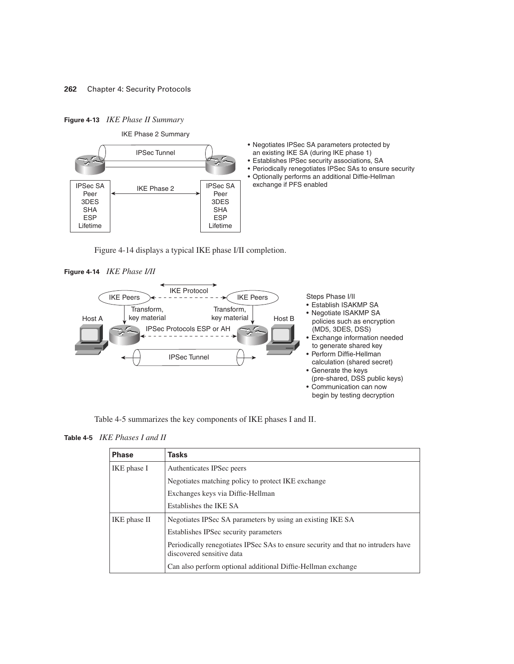### **Figure 4-13** *IKE Phase II Summary*



- Negotiates IPSec SA parameters protected by an existing IKE SA (during IKE phase 1)
- Establishes IPSec security associations, SA
- Periodically renegotiates IPSec SAs to ensure security
- Optionally performs an additional Diffie-Hellman exchange if PFS enabled

Figure 4-14 displays a typical IKE phase I/II completion.

### **Figure 4-14** *IKE Phase I/II*



### Steps Phase I/II

- Establish ISAKMP SA
- Negotiate ISAKMP SA policies such as encryption
- (MD5, 3DES, DSS) • Exchange information needed
- to generate shared key Perform Diffie-Hellman
- calculation (shared secret)
- Generate the keys (pre-shared, DSS public keys)
- Communication can now begin by testing decryption

Table 4-5 summarizes the key components of IKE phases I and II.

### **Table 4-5** *IKE Phases I and II*

| <b>Phase</b> | Tasks                                                                                                          |  |
|--------------|----------------------------------------------------------------------------------------------------------------|--|
| IKE phase I  | Authenticates IPSec peers                                                                                      |  |
|              | Negotiates matching policy to protect IKE exchange                                                             |  |
|              | Exchanges keys via Diffie-Hellman                                                                              |  |
|              | Establishes the IKE SA                                                                                         |  |
| IKE phase II | Negotiates IPSec SA parameters by using an existing IKE SA                                                     |  |
|              | Establishes IPSec security parameters                                                                          |  |
|              | Periodically renegotiates IPSec SAs to ensure security and that no intruders have<br>discovered sensitive data |  |
|              | Can also perform optional additional Diffie-Hellman exchange                                                   |  |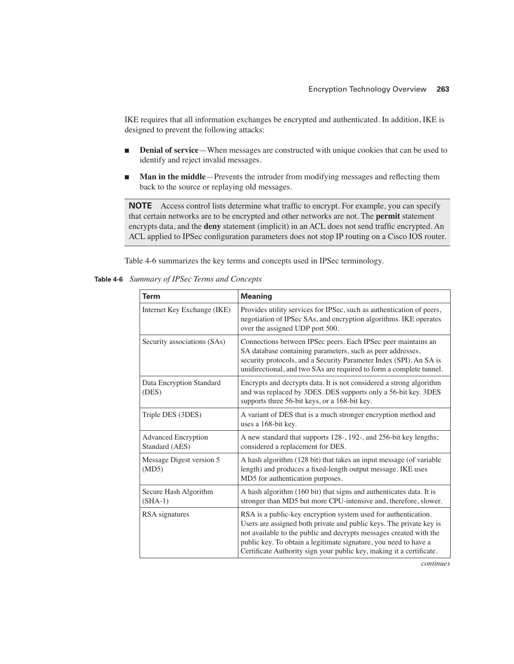IKE requires that all information exchanges be encrypted and authenticated. In addition, IKE is designed to prevent the following attacks:

- **Denial of service**—When messages are constructed with unique cookies that can be used to identify and reject invalid messages.
- **Man in the middle**—Prevents the intruder from modifying messages and reflecting them back to the source or replaying old messages.

**NOTE** Access control lists determine what traffic to encrypt. For example, you can specify that certain networks are to be encrypted and other networks are not. The **permit** statement encrypts data, and the **deny** statement (implicit) in an ACL does not send traffic encrypted. An ACL applied to IPSec configuration parameters does not stop IP routing on a Cisco IOS router.

Table 4-6 summarizes the key terms and concepts used in IPSec terminology.

**Table 4-6** *Summary of IPSec Terms and Concepts* 

| Term                                         | <b>Meaning</b>                                                                                                                                                                                                                                                                                                                                          |  |  |
|----------------------------------------------|---------------------------------------------------------------------------------------------------------------------------------------------------------------------------------------------------------------------------------------------------------------------------------------------------------------------------------------------------------|--|--|
| Internet Key Exchange (IKE)                  | Provides utility services for IPSec, such as authentication of peers,<br>negotiation of IPSec SAs, and encryption algorithms. IKE operates<br>over the assigned UDP port 500.                                                                                                                                                                           |  |  |
| Security associations (SAs)                  | Connections between IPSec peers. Each IPSec peer maintains an<br>SA database containing parameters, such as peer addresses,<br>security protocols, and a Security Parameter Index (SPI). An SA is<br>unidirectional, and two SAs are required to form a complete tunnel.                                                                                |  |  |
| Data Encryption Standard<br>(DES)            | Encrypts and decrypts data. It is not considered a strong algorithm<br>and was replaced by 3DES. DES supports only a 56-bit key. 3DES<br>supports three 56-bit keys, or a 168-bit key.                                                                                                                                                                  |  |  |
| Triple DES (3DES)                            | A variant of DES that is a much stronger encryption method and<br>uses a 168-bit key.                                                                                                                                                                                                                                                                   |  |  |
| <b>Advanced Encryption</b><br>Standard (AES) | A new standard that supports 128-, 192-, and 256-bit key lengths;<br>considered a replacement for DES.                                                                                                                                                                                                                                                  |  |  |
| Message Digest version 5<br>(MD5)            | A hash algorithm (128 bit) that takes an input message (of variable<br>length) and produces a fixed-length output message. IKE uses<br>MD5 for authentication purposes.                                                                                                                                                                                 |  |  |
| Secure Hash Algorithm<br>$(SHA-1)$           | A hash algorithm (160 bit) that signs and authenticates data. It is<br>stronger than MD5 but more CPU-intensive and, therefore, slower.                                                                                                                                                                                                                 |  |  |
| RSA signatures                               | RSA is a public-key encryption system used for authentication.<br>Users are assigned both private and public keys. The private key is<br>not available to the public and decrypts messages created with the<br>public key. To obtain a legitimate signature, you need to have a<br>Certificate Authority sign your public key, making it a certificate. |  |  |

*continues*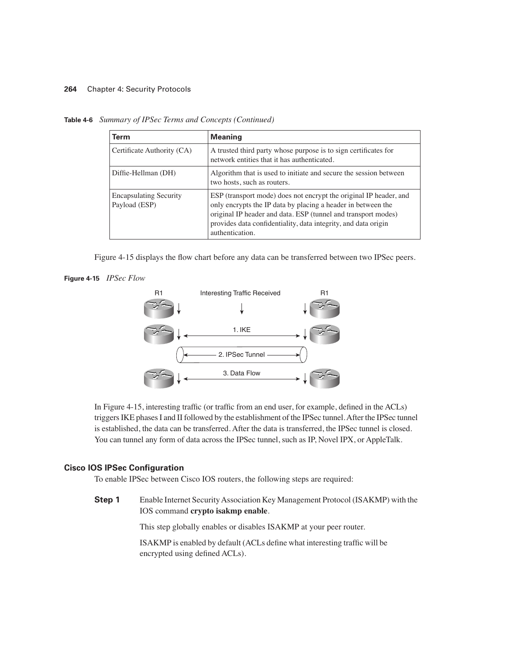| <b>Term</b>                                    | <b>Meaning</b>                                                                                                                                                                                                                                                                          |  |  |
|------------------------------------------------|-----------------------------------------------------------------------------------------------------------------------------------------------------------------------------------------------------------------------------------------------------------------------------------------|--|--|
| Certificate Authority (CA)                     | A trusted third party whose purpose is to sign certificates for<br>network entities that it has authenticated.                                                                                                                                                                          |  |  |
| Diffie-Hellman (DH)                            | Algorithm that is used to initiate and secure the session between<br>two hosts, such as routers.                                                                                                                                                                                        |  |  |
| <b>Encapsulating Security</b><br>Payload (ESP) | ESP (transport mode) does not encrypt the original IP header, and<br>only encrypts the IP data by placing a header in between the<br>original IP header and data. ESP (tunnel and transport modes)<br>provides data confidentiality, data integrity, and data origin<br>authentication. |  |  |

**Table 4-6** *Summary of IPSec Terms and Concepts (Continued)*

Figure 4-15 displays the flow chart before any data can be transferred between two IPSec peers.





In Figure 4-15, interesting traffic (or traffic from an end user, for example, defined in the ACLs) triggers IKE phases I and II followed by the establishment of the IPSec tunnel. After the IPSec tunnel is established, the data can be transferred. After the data is transferred, the IPSec tunnel is closed. You can tunnel any form of data across the IPSec tunnel, such as IP, Novel IPX, or AppleTalk.

### **Cisco IOS IPSec Configuration**

To enable IPSec between Cisco IOS routers, the following steps are required:

**Step 1** Enable Internet Security Association Key Management Protocol (ISAKMP) with the IOS command **crypto isakmp enable**.

This step globally enables or disables ISAKMP at your peer router.

ISAKMP is enabled by default (ACLs define what interesting traffic will be encrypted using defined ACLs).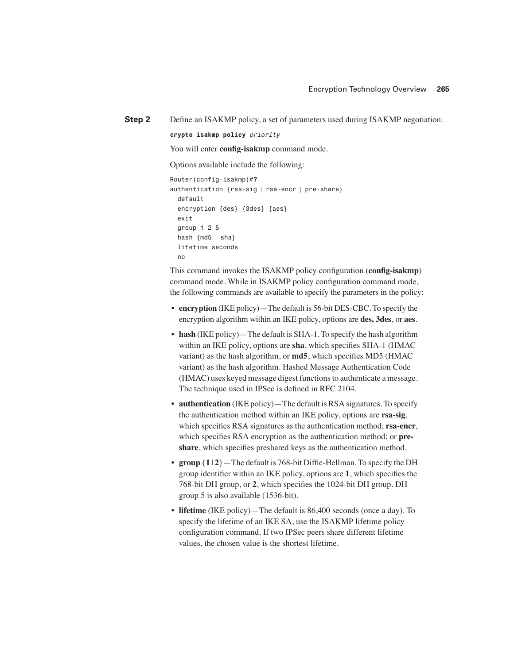### **Step 2** Define an ISAKMP policy, a set of parameters used during ISAKMP negotiation:

#### *crypto isakmp policy priority*

You will enter **config-isakmp** command mode.

Options available include the following:

```
Router(config-isakmp)#?
authentication {rsa-sig | rsa-encr | pre-share}
   default
   encryption {des} {3des} {aes}
   exit
   group 1 2 5 
 hash {md5 | sha}
   lifetime seconds
   no
```
This command invokes the ISAKMP policy configuration (**config-isakmp**) command mode. While in ISAKMP policy configuration command mode, the following commands are available to specify the parameters in the policy:

- **encryption** (IKE policy)—The default is 56-bit DES-CBC. To specify the encryption algorithm within an IKE policy, options are **des, 3des**, or **aes**.
- **hash** (IKE policy)—The default is SHA-1. To specify the hash algorithm within an IKE policy, options are **sha**, which specifies SHA-1 (HMAC variant) as the hash algorithm, or **md5**, which specifies MD5 (HMAC variant) as the hash algorithm. Hashed Message Authentication Code (HMAC) uses keyed message digest functions to authenticate a message. The technique used in IPSec is defined in RFC 2104.
- **authentication** (IKE policy)—The default is RSA signatures. To specify the authentication method within an IKE policy, options are **rsa-sig**, which specifies RSA signatures as the authentication method; **rsa-encr**, which specifies RSA encryption as the authentication method; or **preshare**, which specifies preshared keys as the authentication method.
- **group** {**1** | **2**}—The default is 768-bit Diffie-Hellman. To specify the DH group identifier within an IKE policy, options are **1**, which specifies the 768-bit DH group, or **2**, which specifies the 1024-bit DH group. DH group 5 is also available (1536-bit).
- **lifetime** (IKE policy)—The default is 86,400 seconds (once a day). To specify the lifetime of an IKE SA, use the ISAKMP lifetime policy configuration command. If two IPSec peers share different lifetime values, the chosen value is the shortest lifetime.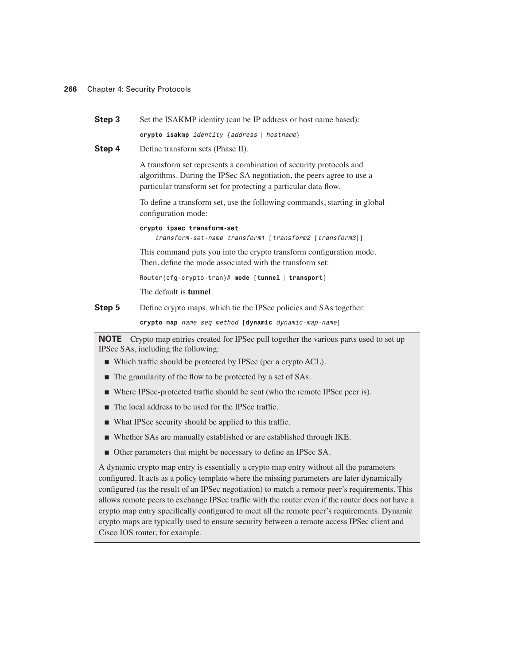**Step 3** Set the ISAKMP identity (can be IP address or host name based):

*crypto isakmp identity {address* | *hostname}*

**Step 4** Define transform sets (Phase II).

A transform set represents a combination of security protocols and algorithms. During the IPSec SA negotiation, the peers agree to use a particular transform set for protecting a particular data flow.

To define a transform set, use the following commands, starting in global configuration mode:

#### crypto ipsec transform-set

 *transform-set-name transform1 [transform2 [transform3]]*

This command puts you into the crypto transform configuration mode. Then, define the mode associated with the transform set:

*Router(cfg-crypto-tran)# mode [tunnel* | *transport]* 

The default is **tunnel**.

**Step 5** Define crypto maps, which tie the IPSec policies and SAs together:

*crypto map name seq method [dynamic dynamic-map-name]*

**NOTE** Crypto map entries created for IPSec pull together the various parts used to set up IPSec SAs, including the following:

- Which traffic should be protected by IPSec (per a crypto ACL).
- The granularity of the flow to be protected by a set of SAs.
- Where IPSec-protected traffic should be sent (who the remote IPSec peer is).
- The local address to be used for the IPSec traffic.
- What IPSec security should be applied to this traffic.
- Whether SAs are manually established or are established through IKE.
- Other parameters that might be necessary to define an IPSec SA.

A dynamic crypto map entry is essentially a crypto map entry without all the parameters configured. It acts as a policy template where the missing parameters are later dynamically configured (as the result of an IPSec negotiation) to match a remote peer's requirements. This allows remote peers to exchange IPSec traffic with the router even if the router does not have a crypto map entry specifically configured to meet all the remote peer's requirements. Dynamic crypto maps are typically used to ensure security between a remote access IPSec client and Cisco IOS router, for example.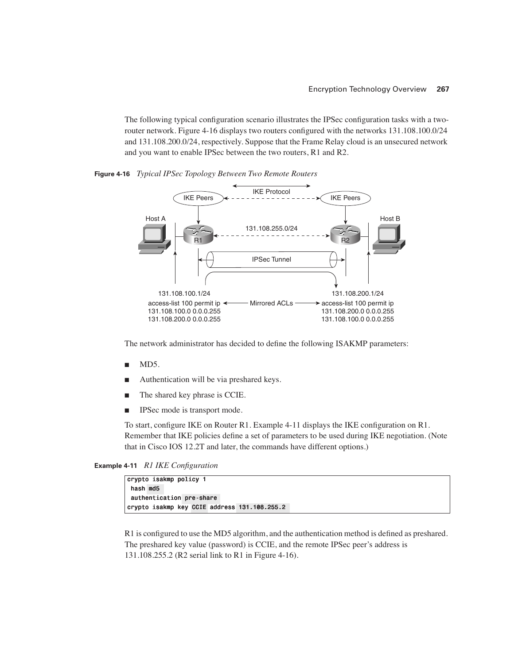The following typical configuration scenario illustrates the IPSec configuration tasks with a tworouter network. Figure 4-16 displays two routers configured with the networks 131.108.100.0/24 and 131.108.200.0/24, respectively. Suppose that the Frame Relay cloud is an unsecured network and you want to enable IPSec between the two routers, R1 and R2.



**Figure 4-16** *Typical IPSec Topology Between Two Remote Routers*

The network administrator has decided to define the following ISAKMP parameters:

- MD5.
- Authentication will be via preshared keys.
- The shared key phrase is CCIE.
- IPSec mode is transport mode.

To start, configure IKE on Router R1. Example 4-11 displays the IKE configuration on R1. Remember that IKE policies define a set of parameters to be used during IKE negotiation. (Note that in Cisco IOS 12.2T and later, the commands have different options.)

**Example 4-11** *R1 IKE Configuration*

| crypto isakmp policy 1                       |  |
|----------------------------------------------|--|
| hash md5                                     |  |
| authentication pre-share                     |  |
| crypto isakmp key CCIE address 131.108.255.2 |  |

R1 is configured to use the MD5 algorithm, and the authentication method is defined as preshared. The preshared key value (password) is CCIE, and the remote IPSec peer's address is 131.108.255.2 (R2 serial link to R1 in Figure 4-16).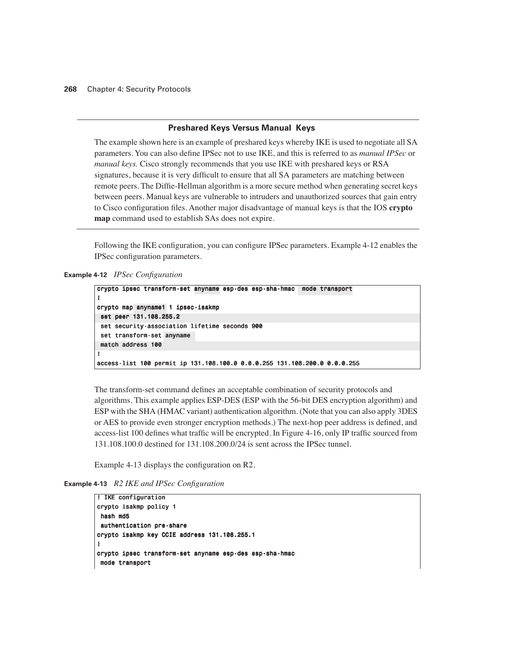### **Preshared Keys Versus Manual Keys**

The example shown here is an example of preshared keys whereby IKE is used to negotiate all SA parameters. You can also define IPSec not to use IKE, and this is referred to as *manual IPSec* or *manual keys.* Cisco strongly recommends that you use IKE with preshared keys or RSA signatures, because it is very difficult to ensure that all SA parameters are matching between remote peers. The Diffie-Hellman algorithm is a more secure method when generating secret keys between peers. Manual keys are vulnerable to intruders and unauthorized sources that gain entry to Cisco configuration files. Another major disadvantage of manual keys is that the IOS **crypto map** command used to establish SAs does not expire.

Following the IKE configuration, you can configure IPSec parameters. Example 4-12 enables the IPSec configuration parameters.

**Example 4-12** *IPSec Configuration*

```
crypto ipsec transform-set anyname esp-des esp-sha-hmac mode transport
!
crypto map anyname1 1 ipsec-isakmp 
 set peer 131.108.255.2
  set security-association lifetime seconds 900
  set transform-set anyname 
  match address 100
!
access-list 100 permit ip 131.108.100.0 0.0.0.255 131.108.200.0 0.0.0.255
```
The transform-set command defines an acceptable combination of security protocols and algorithms. This example applies ESP-DES (ESP with the 56-bit DES encryption algorithm) and ESP with the SHA (HMAC variant) authentication algorithm. (Note that you can also apply 3DES or AES to provide even stronger encryption methods.) The next-hop peer address is defined, and access-list 100 defines what traffic will be encrypted. In Figure 4-16, only IP traffic sourced from 131.108.100.0 destined for 131.108.200.0/24 is sent across the IPSec tunnel.

Example 4-13 displays the configuration on R2.

```
Example 4-13 R2 IKE and IPSec Configuration
```

```
! IKE configuration
crypto isakmp policy 1
  hash md5
  authentication pre-share
crypto isakmp key CCIE address 131.108.255.1
!
crypto ipsec transform-set anyname esp-des esp-sha-hmac 
  mode transport
```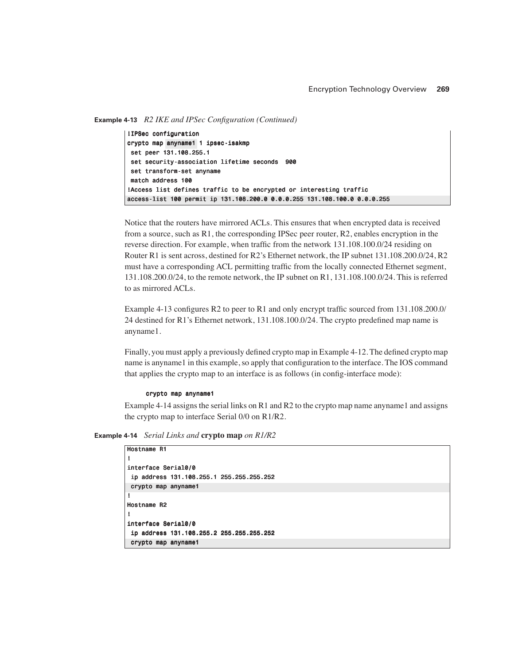**Example 4-13** *R2 IKE and IPSec Configuration (Continued)*

!IPSec configuration crypto map anyname1 1 ipsec-isakmp set peer 131.108.255.1 set security-association lifetime seconds 900 set transform-set anyname match address 100 !Access list defines traffic to be encrypted or interesting traffic access-list 100 permit ip 131.108.200.0 0.0.0.255 131.108.100.0 0.0.0.255

Notice that the routers have mirrored ACLs. This ensures that when encrypted data is received from a source, such as R1, the corresponding IPSec peer router, R2, enables encryption in the reverse direction. For example, when traffic from the network 131.108.100.0/24 residing on Router R1 is sent across, destined for R2's Ethernet network, the IP subnet 131.108.200.0/24, R2 must have a corresponding ACL permitting traffic from the locally connected Ethernet segment, 131.108.200.0/24, to the remote network, the IP subnet on R1, 131.108.100.0/24. This is referred to as mirrored ACLs.

Example 4-13 configures R2 to peer to R1 and only encrypt traffic sourced from 131.108.200.0/ 24 destined for R1's Ethernet network, 131.108.100.0/24. The crypto predefined map name is anyname1.

Finally, you must apply a previously defined crypto map in Example 4-12. The defined crypto map name is anyname1 in this example, so apply that configuration to the interface. The IOS command that applies the crypto map to an interface is as follows (in config-interface mode):

#### crypto map anyname1

Example 4-14 assigns the serial links on R1 and R2 to the crypto map name anyname1 and assigns the crypto map to interface Serial 0/0 on R1/R2.

**Example 4-14** *Serial Links and* **crypto map** *on R1/R2*

```
Hostname R1
!
interface Serial0/0
 ip address 131.108.255.1 255.255.255.252
  crypto map anyname1
!
Hostname R2
!
interface Serial0/0
 ip address 131.108.255.2 255.255.255.252
  crypto map anyname1
```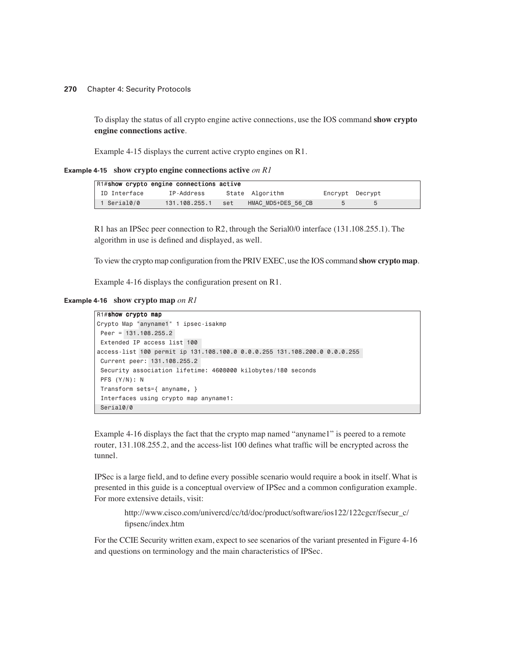To display the status of all crypto engine active connections, use the IOS command **show crypto engine connections active**.

Example 4-15 displays the current active crypto engines on R1.

**Example 4-15 show crypto engine connections active** *on R1*

|                     | R1#show crypto engine connections active |     |                    |                 |  |
|---------------------|------------------------------------------|-----|--------------------|-----------------|--|
| ID Interface        | IP-Address                               |     | State Algorithm    | Encrypt Decrypt |  |
| $\vert$ 1 Serial0/0 | 131.108.255.1                            | set | HMAC MD5+DES 56 CB |                 |  |

R1 has an IPSec peer connection to R2, through the Serial0/0 interface (131.108.255.1). The algorithm in use is defined and displayed, as well.

To view the crypto map configuration from the PRIV EXEC, use the IOS command **show crypto map**.

Example 4-16 displays the configuration present on R1.

```
Example 4-16 show crypto map on R1
```

```
R1#show crypto map
Crypto Map "anyname1" 1 ipsec-isakmp
  Peer = 131.108.255.2
 Extended IP access list 100
access-list 100 permit ip 131.108.100.0 0.0.0.255 131.108.200.0 0.0.0.255
 Current peer: 131.108.255.2
  Security association lifetime: 4608000 kilobytes/180 seconds
  PFS (Y/N): N
  Transform sets={ anyname, }
  Interfaces using crypto map anyname1:
  Serial0/0
```
Example 4-16 displays the fact that the crypto map named "anyname1" is peered to a remote router, 131.108.255.2, and the access-list 100 defines what traffic will be encrypted across the tunnel.

IPSec is a large field, and to define every possible scenario would require a book in itself. What is presented in this guide is a conceptual overview of IPSec and a common configuration example. For more extensive details, visit:

http://www.cisco.com/univercd/cc/td/doc/product/software/ios122/122cgcr/fsecur\_c/ fipsenc/index.htm

For the CCIE Security written exam, expect to see scenarios of the variant presented in Figure 4-16 and questions on terminology and the main characteristics of IPSec.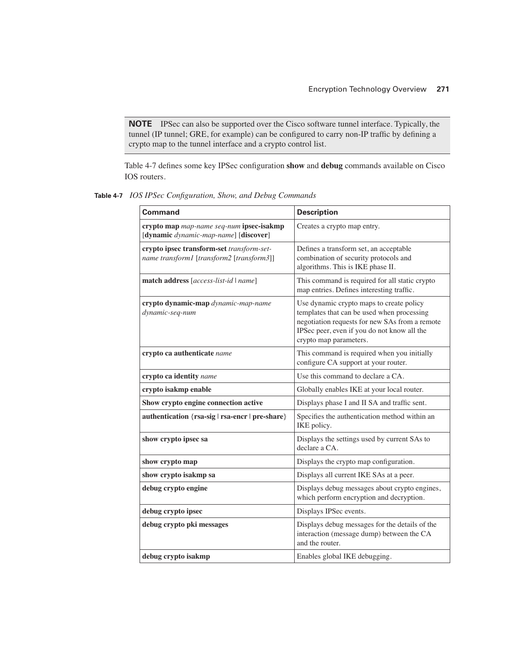**NOTE** IPSec can also be supported over the Cisco software tunnel interface. Typically, the tunnel (IP tunnel; GRE, for example) can be configured to carry non-IP traffic by defining a crypto map to the tunnel interface and a crypto control list.

Table 4-7 defines some key IPSec configuration **show** and **debug** commands available on Cisco IOS routers.

| <b>Command</b>                                                                         | <b>Description</b>                                                                                                                                                                                                |  |
|----------------------------------------------------------------------------------------|-------------------------------------------------------------------------------------------------------------------------------------------------------------------------------------------------------------------|--|
| crypto map map-name seq-num ipsec-isakmp<br>[dynamic dynamic-map-name] [discover]      | Creates a crypto map entry.                                                                                                                                                                                       |  |
| crypto ipsec transform-set transform-set-<br>name transform1 [transform2 [transform3]] | Defines a transform set, an acceptable<br>combination of security protocols and<br>algorithms. This is IKE phase II.                                                                                              |  |
| match address [access-list-id   name]                                                  | This command is required for all static crypto<br>map entries. Defines interesting traffic.                                                                                                                       |  |
| crypto dynamic-map dynamic-map-name<br>dynamic-seq-num                                 | Use dynamic crypto maps to create policy<br>templates that can be used when processing<br>negotiation requests for new SAs from a remote<br>IPSec peer, even if you do not know all the<br>crypto map parameters. |  |
| crypto ca authenticate name                                                            | This command is required when you initially<br>configure CA support at your router.                                                                                                                               |  |
| crypto ca identity name                                                                | Use this command to declare a CA.                                                                                                                                                                                 |  |
| crypto isakmp enable                                                                   | Globally enables IKE at your local router.                                                                                                                                                                        |  |
| Show crypto engine connection active                                                   | Displays phase I and II SA and traffic sent.                                                                                                                                                                      |  |
| authentication {rsa-sig   rsa-encr   pre-share}                                        | Specifies the authentication method within an<br>IKE policy.                                                                                                                                                      |  |
| show crypto ipsec sa                                                                   | Displays the settings used by current SAs to<br>declare a CA.                                                                                                                                                     |  |
| show crypto map                                                                        | Displays the crypto map configuration.                                                                                                                                                                            |  |
| show crypto isakmp sa                                                                  | Displays all current IKE SAs at a peer.                                                                                                                                                                           |  |
| debug crypto engine                                                                    | Displays debug messages about crypto engines,<br>which perform encryption and decryption.                                                                                                                         |  |
| debug crypto ipsec                                                                     | Displays IPSec events.                                                                                                                                                                                            |  |
| debug crypto pki messages                                                              | Displays debug messages for the details of the<br>interaction (message dump) between the CA<br>and the router.                                                                                                    |  |
| debug crypto isakmp                                                                    | Enables global IKE debugging.                                                                                                                                                                                     |  |

**Table 4-7** *IOS IPSec Configuration, Show, and Debug Commands*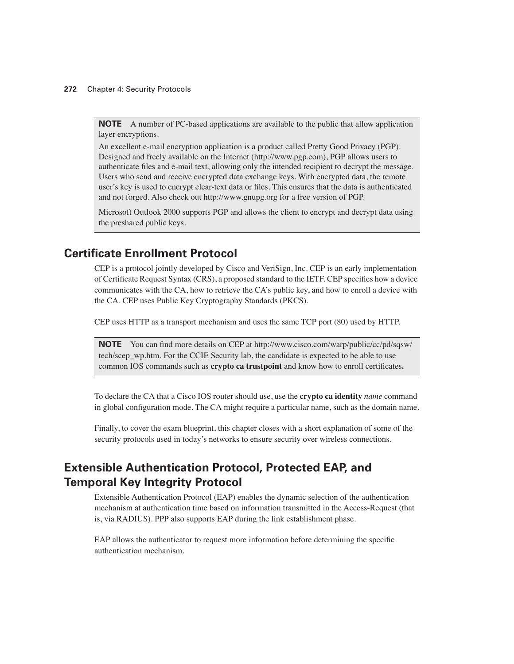**NOTE** A number of PC-based applications are available to the public that allow application layer encryptions.

An excellent e-mail encryption application is a product called Pretty Good Privacy (PGP). Designed and freely available on the Internet (http://www.pgp.com), PGP allows users to authenticate files and e-mail text, allowing only the intended recipient to decrypt the message. Users who send and receive encrypted data exchange keys. With encrypted data, the remote user's key is used to encrypt clear-text data or files. This ensures that the data is authenticated and not forged. Also check out http://www.gnupg.org for a free version of PGP.

Microsoft Outlook 2000 supports PGP and allows the client to encrypt and decrypt data using the preshared public keys.

## **Certificate Enrollment Protocol**

CEP is a protocol jointly developed by Cisco and VeriSign, Inc. CEP is an early implementation of Certificate Request Syntax (CRS), a proposed standard to the IETF. CEP specifies how a device communicates with the CA, how to retrieve the CA's public key, and how to enroll a device with the CA. CEP uses Public Key Cryptography Standards (PKCS).

CEP uses HTTP as a transport mechanism and uses the same TCP port (80) used by HTTP.

**NOTE** You can find more details on CEP at http://www.cisco.com/warp/public/cc/pd/sqsw/ tech/scep\_wp.htm. For the CCIE Security lab, the candidate is expected to be able to use common IOS commands such as **crypto ca trustpoint** and know how to enroll certificates**.**

To declare the CA that a Cisco IOS router should use, use the **crypto ca identity** *name* command in global configuration mode. The CA might require a particular name, such as the domain name.

Finally, to cover the exam blueprint, this chapter closes with a short explanation of some of the security protocols used in today's networks to ensure security over wireless connections.

## **Extensible Authentication Protocol, Protected EAP, and Temporal Key Integrity Protocol**

Extensible Authentication Protocol (EAP) enables the dynamic selection of the authentication mechanism at authentication time based on information transmitted in the Access-Request (that is, via RADIUS). PPP also supports EAP during the link establishment phase.

EAP allows the authenticator to request more information before determining the specific authentication mechanism.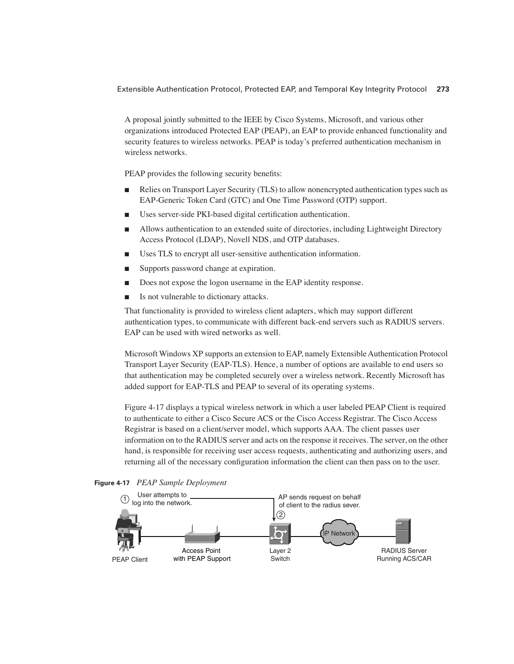Extensible Authentication Protocol, Protected EAP, and Temporal Key Integrity Protocol **273**

A proposal jointly submitted to the IEEE by Cisco Systems, Microsoft, and various other organizations introduced Protected EAP (PEAP), an EAP to provide enhanced functionality and security features to wireless networks. PEAP is today's preferred authentication mechanism in wireless networks.

PEAP provides the following security benefits:

- Relies on Transport Layer Security (TLS) to allow nonencrypted authentication types such as EAP-Generic Token Card (GTC) and One Time Password (OTP) support.
- Uses server-side PKI-based digital certification authentication.
- Allows authentication to an extended suite of directories, including Lightweight Directory Access Protocol (LDAP), Novell NDS, and OTP databases.
- Uses TLS to encrypt all user-sensitive authentication information.
- Supports password change at expiration.
- Does not expose the logon username in the EAP identity response.
- Is not vulnerable to dictionary attacks.

That functionality is provided to wireless client adapters, which may support different authentication types, to communicate with different back-end servers such as RADIUS servers. EAP can be used with wired networks as well.

Microsoft Windows XP supports an extension to EAP, namely Extensible Authentication Protocol Transport Layer Security (EAP-TLS). Hence, a number of options are available to end users so that authentication may be completed securely over a wireless network. Recently Microsoft has added support for EAP-TLS and PEAP to several of its operating systems.

Figure 4-17 displays a typical wireless network in which a user labeled PEAP Client is required to authenticate to either a Cisco Secure ACS or the Cisco Access Registrar. The Cisco Access Registrar is based on a client/server model, which supports AAA. The client passes user information on to the RADIUS server and acts on the response it receives. The server, on the other hand, is responsible for receiving user access requests, authenticating and authorizing users, and returning all of the necessary configuration information the client can then pass on to the user.



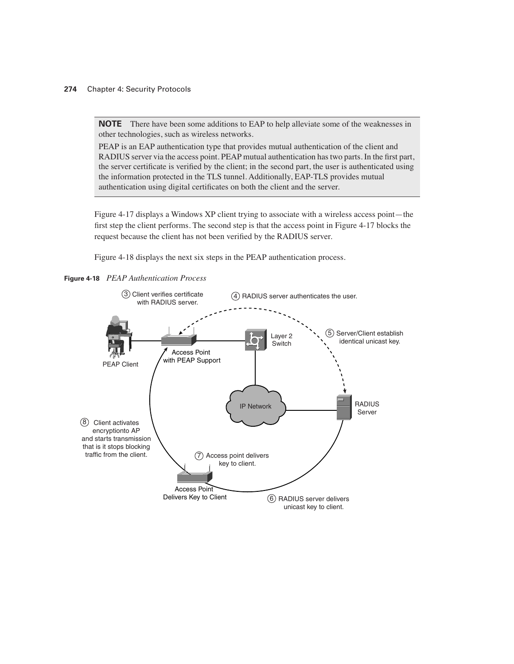**NOTE** There have been some additions to EAP to help alleviate some of the weaknesses in other technologies, such as wireless networks.

PEAP is an EAP authentication type that provides mutual authentication of the client and RADIUS server via the access point. PEAP mutual authentication has two parts. In the first part, the server certificate is verified by the client; in the second part, the user is authenticated using the information protected in the TLS tunnel. Additionally, EAP-TLS provides mutual authentication using digital certificates on both the client and the server.

Figure 4-17 displays a Windows XP client trying to associate with a wireless access point—the first step the client performs. The second step is that the access point in Figure 4-17 blocks the request because the client has not been verified by the RADIUS server.

Figure 4-18 displays the next six steps in the PEAP authentication process.



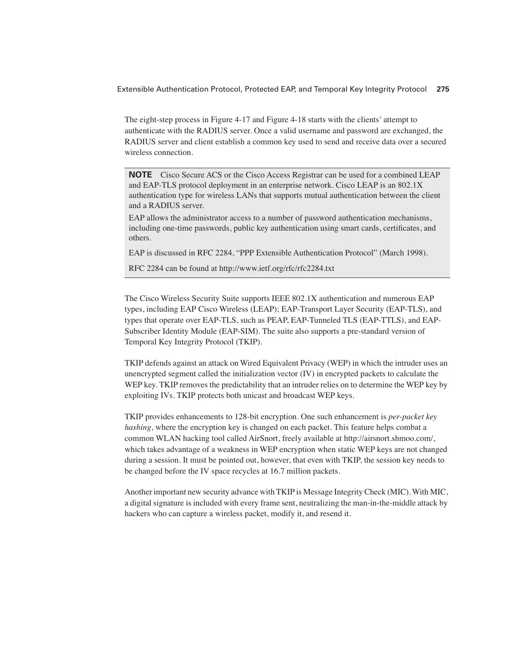Extensible Authentication Protocol, Protected EAP, and Temporal Key Integrity Protocol **275**

The eight-step process in Figure 4-17 and Figure 4-18 starts with the clients' attempt to authenticate with the RADIUS server. Once a valid username and password are exchanged, the RADIUS server and client establish a common key used to send and receive data over a secured wireless connection.

**NOTE** Cisco Secure ACS or the Cisco Access Registrar can be used for a combined LEAP and EAP-TLS protocol deployment in an enterprise network. Cisco LEAP is an 802.1X authentication type for wireless LANs that supports mutual authentication between the client and a RADIUS server.

EAP allows the administrator access to a number of password authentication mechanisms, including one-time passwords, public key authentication using smart cards, certificates, and others.

EAP is discussed in RFC 2284, "PPP Extensible Authentication Protocol" (March 1998).

RFC 2284 can be found at http://www.ietf.org/rfc/rfc2284.txt

The Cisco Wireless Security Suite supports IEEE 802.1X authentication and numerous EAP types, including EAP Cisco Wireless (LEAP); EAP-Transport Layer Security (EAP-TLS), and types that operate over EAP-TLS, such as PEAP, EAP-Tunneled TLS (EAP-TTLS), and EAP-Subscriber Identity Module (EAP-SIM). The suite also supports a pre-standard version of Temporal Key Integrity Protocol (TKIP).

TKIP defends against an attack on Wired Equivalent Privacy (WEP) in which the intruder uses an unencrypted segment called the initialization vector (IV) in encrypted packets to calculate the WEP key. TKIP removes the predictability that an intruder relies on to determine the WEP key by exploiting IVs. TKIP protects both unicast and broadcast WEP keys.

TKIP provides enhancements to 128-bit encryption. One such enhancement is *per-packet key hashing*, where the encryption key is changed on each packet. This feature helps combat a common WLAN hacking tool called AirSnort, freely available at http://airsnort.shmoo.com/, which takes advantage of a weakness in WEP encryption when static WEP keys are not changed during a session. It must be pointed out, however, that even with TKIP, the session key needs to be changed before the IV space recycles at 16.7 million packets.

Another important new security advance with TKIP is Message Integrity Check (MIC). With MIC, a digital signature is included with every frame sent, neutralizing the man-in-the-middle attack by hackers who can capture a wireless packet, modify it, and resend it.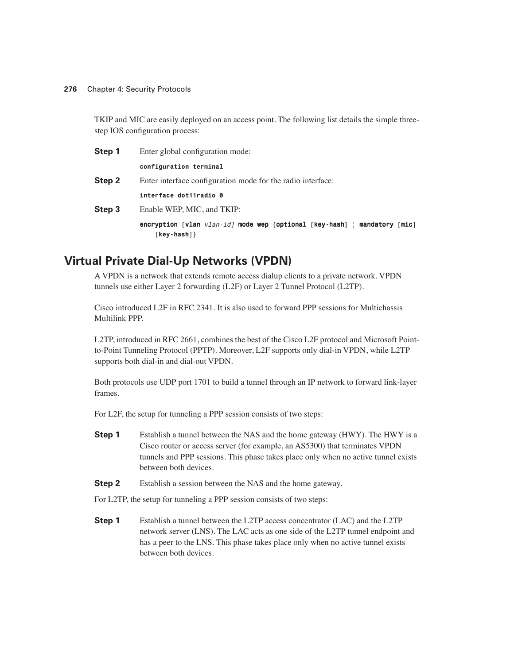TKIP and MIC are easily deployed on an access point. The following list details the simple threestep IOS configuration process:

| Enter global configuration mode:                                                                        |
|---------------------------------------------------------------------------------------------------------|
| configuration terminal                                                                                  |
| Enter interface configuration mode for the radio interface:                                             |
| interface dot11radio 0                                                                                  |
| Enable WEP, MIC, and TKIP:                                                                              |
| encryption [vlan $vlan-id/$ mode wep {optional [key-hash] $\frac{1}{2}$ mandatory [mic]<br>$[key-hash]$ |
|                                                                                                         |

## **Virtual Private Dial-Up Networks (VPDN)**

A VPDN is a network that extends remote access dialup clients to a private network. VPDN tunnels use either Layer 2 forwarding (L2F) or Layer 2 Tunnel Protocol (L2TP).

Cisco introduced L2F in RFC 2341. It is also used to forward PPP sessions for Multichassis Multilink PPP.

L2TP, introduced in RFC 2661, combines the best of the Cisco L2F protocol and Microsoft Pointto-Point Tunneling Protocol (PPTP). Moreover, L2F supports only dial-in VPDN, while L2TP supports both dial-in and dial-out VPDN.

Both protocols use UDP port 1701 to build a tunnel through an IP network to forward link-layer frames.

For L2F, the setup for tunneling a PPP session consists of two steps:

- **Step 1** Establish a tunnel between the NAS and the home gateway (HWY). The HWY is a Cisco router or access server (for example, an AS5300) that terminates VPDN tunnels and PPP sessions. This phase takes place only when no active tunnel exists between both devices.
- **Step 2** Establish a session between the NAS and the home gateway.

For L2TP, the setup for tunneling a PPP session consists of two steps:

**Step 1** Establish a tunnel between the L2TP access concentrator (LAC) and the L2TP network server (LNS). The LAC acts as one side of the L2TP tunnel endpoint and has a peer to the LNS. This phase takes place only when no active tunnel exists between both devices.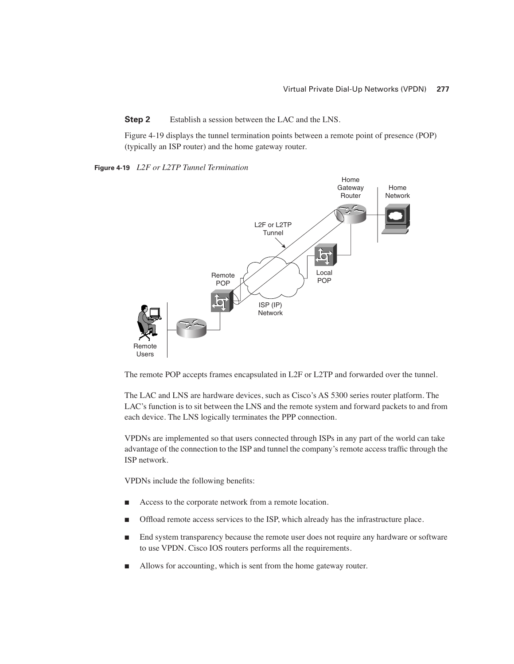### **Step 2** Establish a session between the LAC and the LNS.

Figure 4-19 displays the tunnel termination points between a remote point of presence (POP) (typically an ISP router) and the home gateway router.

**Figure 4-19** *L2F or L2TP Tunnel Termination*



The remote POP accepts frames encapsulated in L2F or L2TP and forwarded over the tunnel.

The LAC and LNS are hardware devices, such as Cisco's AS 5300 series router platform. The LAC's function is to sit between the LNS and the remote system and forward packets to and from each device. The LNS logically terminates the PPP connection.

VPDNs are implemented so that users connected through ISPs in any part of the world can take advantage of the connection to the ISP and tunnel the company's remote access traffic through the ISP network.

VPDNs include the following benefits:

- Access to the corporate network from a remote location.
- Offload remote access services to the ISP, which already has the infrastructure place.
- End system transparency because the remote user does not require any hardware or software to use VPDN. Cisco IOS routers performs all the requirements.
- Allows for accounting, which is sent from the home gateway router.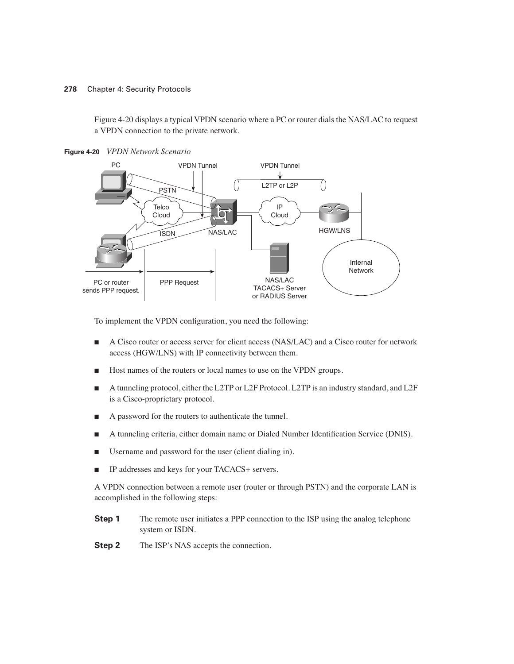Figure 4-20 displays a typical VPDN scenario where a PC or router dials the NAS/LAC to request a VPDN connection to the private network.





To implement the VPDN configuration, you need the following:

- A Cisco router or access server for client access (NAS/LAC) and a Cisco router for network access (HGW/LNS) with IP connectivity between them.
- Host names of the routers or local names to use on the VPDN groups.
- A tunneling protocol, either the L2TP or L2F Protocol. L2TP is an industry standard, and L2F is a Cisco-proprietary protocol.
- A password for the routers to authenticate the tunnel.
- A tunneling criteria, either domain name or Dialed Number Identification Service (DNIS).
- Username and password for the user (client dialing in).
- IP addresses and keys for your TACACS+ servers.

A VPDN connection between a remote user (router or through PSTN) and the corporate LAN is accomplished in the following steps:

- **Step 1** The remote user initiates a PPP connection to the ISP using the analog telephone system or ISDN.
- **Step 2** The ISP's NAS accepts the connection.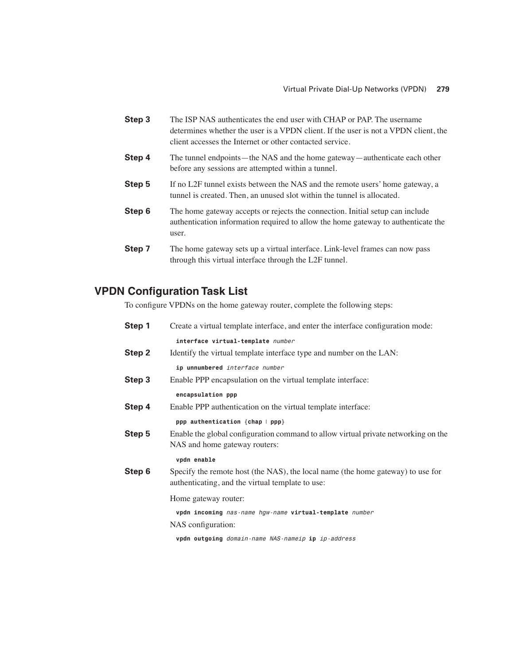| Step 3 | The ISP NAS authenticates the end user with CHAP or PAP. The username<br>determines whether the user is a VPDN client. If the user is not a VPDN client, the<br>client accesses the Internet or other contacted service. |
|--------|--------------------------------------------------------------------------------------------------------------------------------------------------------------------------------------------------------------------------|
| Step 4 | The tunnel endpoints—the NAS and the home gateway—authenticate each other<br>before any sessions are attempted within a tunnel.                                                                                          |
| Step 5 | If no L2F tunnel exists between the NAS and the remote users' home gateway, a<br>tunnel is created. Then, an unused slot within the tunnel is allocated.                                                                 |
| Step 6 | The home gateway accepts or rejects the connection. Initial setup can include<br>authentication information required to allow the home gateway to authenticate the<br>user.                                              |
| Step 7 | The home gateway sets up a virtual interface. Link-level frames can now pass<br>through this virtual interface through the L2F tunnel.                                                                                   |

## **VPDN Configuration Task List**

To configure VPDNs on the home gateway router, complete the following steps:

| Step 1 | Create a virtual template interface, and enter the interface configuration mode:                                                                       |  |  |
|--------|--------------------------------------------------------------------------------------------------------------------------------------------------------|--|--|
| Step 2 | interface virtual-template number<br>Identify the virtual template interface type and number on the LAN:                                               |  |  |
| Step 3 | ip unnumbered interface number<br>Enable PPP encapsulation on the virtual template interface:                                                          |  |  |
| Step 4 | encapsulation ppp<br>Enable PPP authentication on the virtual template interface:                                                                      |  |  |
| Step 5 | ppp authentication {chap   ppp}<br>Enable the global configuration command to allow virtual private networking on the<br>NAS and home gateway routers: |  |  |
| Step 6 | vpdn enable<br>Specify the remote host (the NAS), the local name (the home gateway) to use for<br>authenticating, and the virtual template to use:     |  |  |
|        | Home gateway router:                                                                                                                                   |  |  |
|        | vpdn incoming nas-name hgw-name virtual-template number<br>NAS configuration:                                                                          |  |  |
|        | vpdn outgoing domain-name NAS-nameip ip ip-address                                                                                                     |  |  |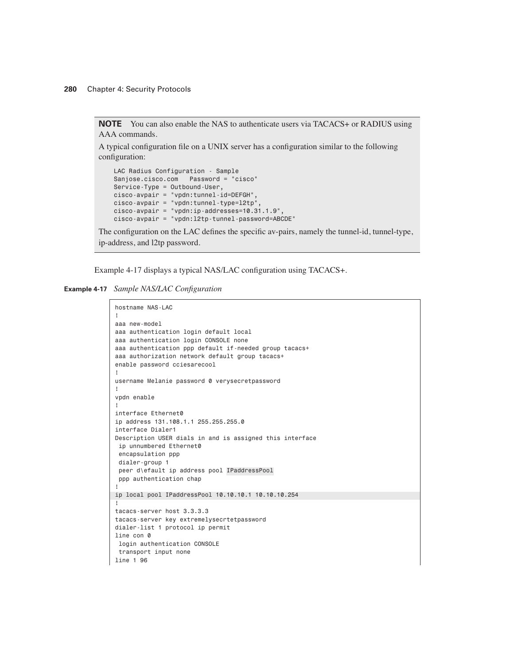**NOTE** You can also enable the NAS to authenticate users via TACACS+ or RADIUS using AAA commands.

A typical configuration file on a UNIX server has a configuration similar to the following configuration:

```
 LAC Radius Configuration - Sample
 Sanjose.cisco.com Password = "cisco"
 Service-Type = Outbound-User,
 cisco-avpair = "vpdn:tunnel-id=DEFGH",
 cisco-avpair = "vpdn:tunnel-type=l2tp",
 cisco-avpair = "vpdn:ip-addresses=10.31.1.9",
 cisco-avpair = "vpdn:l2tp-tunnel-password=ABCDE"
```
The configuration on the LAC defines the specific av-pairs, namely the tunnel-id, tunnel-type, ip-address, and l2tp password.

Example 4-17 displays a typical NAS/LAC configuration using TACACS+.

**Example 4-17** *Sample NAS/LAC Configuration* 

```
hostname NAS-LAC
!
aaa new-model
aaa authentication login default local
aaa authentication login CONSOLE none
aaa authentication ppp default if-needed group tacacs+
aaa authorization network default group tacacs+
enable password cciesarecool
!
username Melanie password 0 verysecretpassword
!
vpdn enable
!
interface Ethernet0
ip address 131.108.1.1 255.255.255.0
interface Dialer1
Description USER dials in and is assigned this interface
 ip unnumbered Ethernet0
 encapsulation ppp
 dialer-group 1
 peer d\efault ip address pool IPaddressPool
IPaddressPool ppp authentication chap
!
ip local pool IPaddressPool 10.10.10.1 10.10.10.254
!
tacacs-server host 3.3.3.3
tacacs-server key extremelysecrtetpassword
dialer-list 1 protocol ip permit
line con 0
 login authentication CONSOLE
 transport input none
line 1 96
```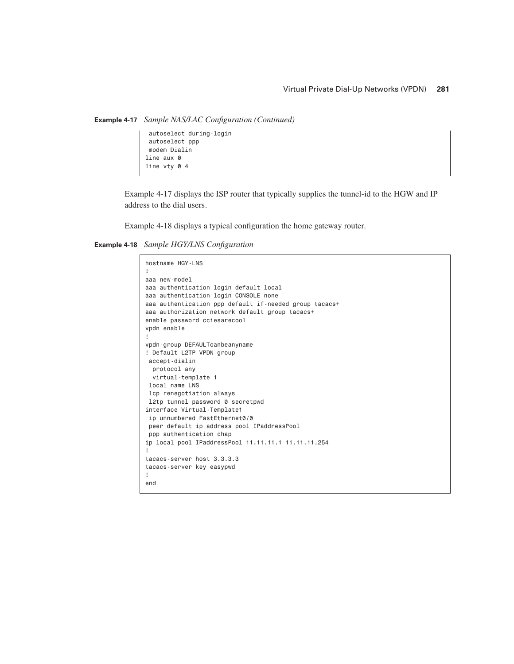```
Example 4-17 Sample NAS/LAC Configuration (Continued)
```
 *autoselect during-login autoselect ppp modem Dialin line aux 0 line vty 0 4*

Example 4-17 displays the ISP router that typically supplies the tunnel-id to the HGW and IP address to the dial users.

Example 4-18 displays a typical configuration the home gateway router.

**Example 4-18** *Sample HGY/LNS Configuration* 

```
hostname HGY-LNS
!
aaa new-model
aaa authentication login default local
aaa authentication login CONSOLE none
aaa authentication ppp default if-needed group tacacs+
aaa authorization network default group tacacs+
enable password cciesarecool
vpdn enable
!
vpdn-group DEFAULTcanbeanyname
! Default L2TP VPDN group
 accept-dialin
  protocol any
  virtual-template 1
  local name LNS
  lcp renegotiation always
 l2tp tunnel password 0 secretpwd
interface Virtual-Template1
 ip unnumbered FastEthernet0/0
 peer default ip address pool IPaddressPool
 ppp authentication chap
ip local pool IPaddressPool 11.11.11.1 11.11.11.254
!
tacacs-server host 3.3.3.3
tacacs-server key easypwd
!
end
```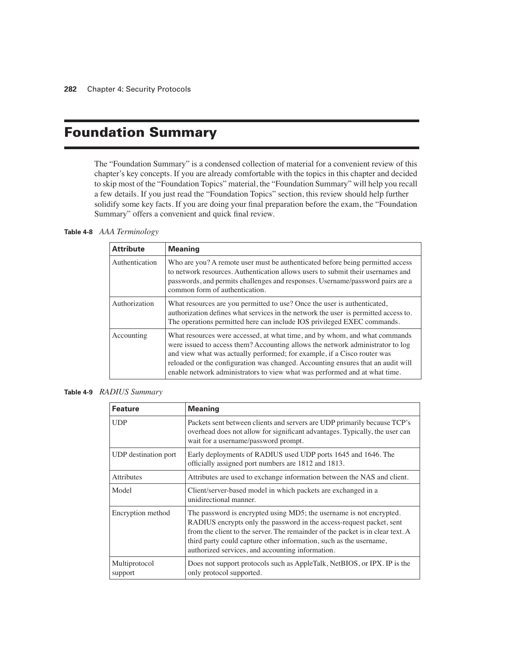# **Foundation Summary**

The "Foundation Summary" is a condensed collection of material for a convenient review of this chapter's key concepts. If you are already comfortable with the topics in this chapter and decided to skip most of the "Foundation Topics" material, the "Foundation Summary" will help you recall a few details. If you just read the "Foundation Topics" section, this review should help further solidify some key facts. If you are doing your final preparation before the exam, the "Foundation Summary" offers a convenient and quick final review.

### **Table 4-8** *AAA Terminology*

| <b>Attribute</b> | <b>Meaning</b>                                                                                                                                                                                                                                                                                                                                                                                             |
|------------------|------------------------------------------------------------------------------------------------------------------------------------------------------------------------------------------------------------------------------------------------------------------------------------------------------------------------------------------------------------------------------------------------------------|
| Authentication   | Who are you? A remote user must be authenticated before being permitted access<br>to network resources. Authentication allows users to submit their usernames and<br>passwords, and permits challenges and responses. Username/password pairs are a<br>common form of authentication.                                                                                                                      |
| Authorization    | What resources are you permitted to use? Once the user is authenticated,<br>authorization defines what services in the network the user is permitted access to.<br>The operations permitted here can include IOS privileged EXEC commands.                                                                                                                                                                 |
| Accounting       | What resources were accessed, at what time, and by whom, and what commands<br>were issued to access them? Accounting allows the network administrator to log<br>and view what was actually performed; for example, if a Cisco router was<br>reloaded or the configuration was changed. Accounting ensures that an audit will<br>enable network administrators to view what was performed and at what time. |

### **Table 4-9** *RADIUS Summary*

| <b>Feature</b>           | <b>Meaning</b>                                                                                                                                                                                                                                                                                                                                          |  |  |
|--------------------------|---------------------------------------------------------------------------------------------------------------------------------------------------------------------------------------------------------------------------------------------------------------------------------------------------------------------------------------------------------|--|--|
| <b>UDP</b>               | Packets sent between clients and servers are UDP primarily because TCP's<br>overhead does not allow for significant advantages. Typically, the user can<br>wait for a username/password prompt.                                                                                                                                                         |  |  |
| UDP destination port     | Early deployments of RADIUS used UDP ports 1645 and 1646. The<br>officially assigned port numbers are 1812 and 1813.                                                                                                                                                                                                                                    |  |  |
| <b>Attributes</b>        | Attributes are used to exchange information between the NAS and client.                                                                                                                                                                                                                                                                                 |  |  |
| Model                    | Client/server-based model in which packets are exchanged in a<br>unidirectional manner.                                                                                                                                                                                                                                                                 |  |  |
| Encryption method        | The password is encrypted using MD5; the username is not encrypted.<br>RADIUS encrypts only the password in the access-request packet, sent<br>from the client to the server. The remainder of the packet is in clear text. A<br>third party could capture other information, such as the username,<br>authorized services, and accounting information. |  |  |
| Multiprotocol<br>support | Does not support protocols such as AppleTalk, NetBIOS, or IPX. IP is the<br>only protocol supported.                                                                                                                                                                                                                                                    |  |  |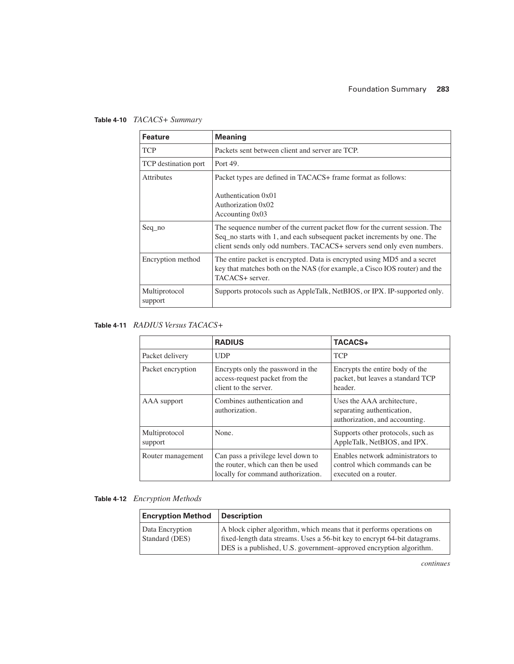## Foundation Summary **283**

|  | Table 4-10 TACACS+ Summary |  |
|--|----------------------------|--|
|--|----------------------------|--|

| <b>Feature</b>           | <b>Meaning</b>                                                                                                                                                                                                                   |
|--------------------------|----------------------------------------------------------------------------------------------------------------------------------------------------------------------------------------------------------------------------------|
| <b>TCP</b>               | Packets sent between client and server are TCP.                                                                                                                                                                                  |
| TCP destination port     | Port 49.                                                                                                                                                                                                                         |
| <b>Attributes</b>        | Packet types are defined in TACACS+ frame format as follows:                                                                                                                                                                     |
|                          | Authentication 0x01<br>Authorization 0x02                                                                                                                                                                                        |
|                          | Accounting 0x03                                                                                                                                                                                                                  |
| $Seq_no$                 | The sequence number of the current packet flow for the current session. The<br>Seq no starts with 1, and each subsequent packet increments by one. The<br>client sends only odd numbers. TACACS+ servers send only even numbers. |
| Encryption method        | The entire packet is encrypted. Data is encrypted using MD5 and a secret<br>key that matches both on the NAS (for example, a Cisco IOS router) and the<br>TACACS+ server.                                                        |
| Multiprotocol<br>support | Supports protocols such as AppleTalk, NetBIOS, or IPX. IP-supported only.                                                                                                                                                        |

**Table 4-11** *RADIUS Versus TACACS+*

|                          | <b>RADIUS</b>                                                                                                  | TACACS+                                                                                     |
|--------------------------|----------------------------------------------------------------------------------------------------------------|---------------------------------------------------------------------------------------------|
| Packet delivery          | <b>UDP</b>                                                                                                     | <b>TCP</b>                                                                                  |
| Packet encryption        | Encrypts only the password in the<br>access-request packet from the<br>client to the server.                   | Encrypts the entire body of the<br>packet, but leaves a standard TCP<br>header.             |
| AAA support              | Combines authentication and<br>authorization.                                                                  | Uses the AAA architecture,<br>separating authentication,<br>authorization, and accounting.  |
| Multiprotocol<br>support | None.                                                                                                          | Supports other protocols, such as<br>AppleTalk, NetBIOS, and IPX.                           |
| Router management        | Can pass a privilege level down to<br>the router, which can then be used<br>locally for command authorization. | Enables network administrators to<br>control which commands can be<br>executed on a router. |

## **Table 4-12** *Encryption Methods*

| <b>Encryption Method</b>          | <b>Description</b>                                                                                                                                                                                                      |
|-----------------------------------|-------------------------------------------------------------------------------------------------------------------------------------------------------------------------------------------------------------------------|
| Data Encryption<br>Standard (DES) | A block cipher algorithm, which means that it performs operations on<br>fixed-length data streams. Uses a 56-bit key to encrypt 64-bit datagrams.<br>DES is a published, U.S. government-approved encryption algorithm. |

*continues*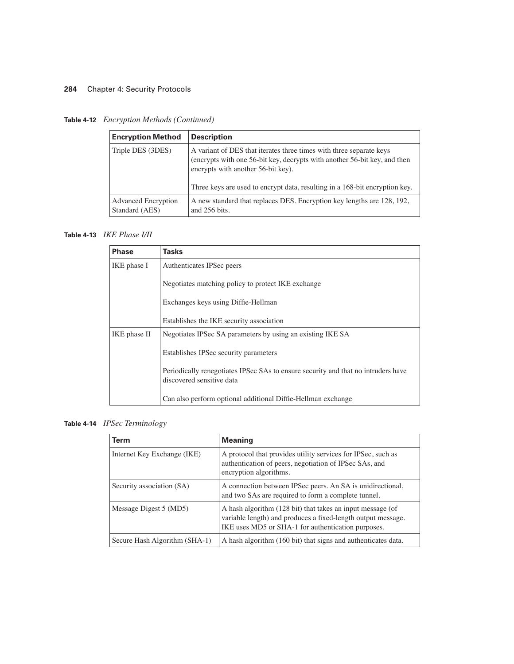| <b>Encryption Method</b>                     | <b>Description</b>                                                                                                                                                                                                                                                    |
|----------------------------------------------|-----------------------------------------------------------------------------------------------------------------------------------------------------------------------------------------------------------------------------------------------------------------------|
| Triple DES (3DES)                            | A variant of DES that iterates three times with three separate keys<br>(encrypts with one 56-bit key, decrypts with another 56-bit key, and then<br>encrypts with another 56-bit key).<br>Three keys are used to encrypt data, resulting in a 168-bit encryption key. |
| <b>Advanced Encryption</b><br>Standard (AES) | A new standard that replaces DES. Encryption key lengths are 128, 192,<br>and 256 bits.                                                                                                                                                                               |

## **Table 4-12** *Encryption Methods (Continued)*

### **Table 4-13** *IKE Phase I/II*

| <b>Phase</b> | <b>Tasks</b>                                                                                                   |
|--------------|----------------------------------------------------------------------------------------------------------------|
| IKE phase I  | Authenticates IPSec peers                                                                                      |
|              | Negotiates matching policy to protect IKE exchange                                                             |
|              | Exchanges keys using Diffie-Hellman                                                                            |
|              | Establishes the IKE security association                                                                       |
| IKE phase II | Negotiates IPSec SA parameters by using an existing IKE SA                                                     |
|              | Establishes IPSec security parameters                                                                          |
|              | Periodically renegotiates IPSec SAs to ensure security and that no intruders have<br>discovered sensitive data |
|              | Can also perform optional additional Diffie-Hellman exchange                                                   |

## **Table 4-14** *IPSec Terminology*

| Term                          | <b>Meaning</b>                                                                                                                                                                   |
|-------------------------------|----------------------------------------------------------------------------------------------------------------------------------------------------------------------------------|
| Internet Key Exchange (IKE)   | A protocol that provides utility services for IPSec, such as<br>authentication of peers, negotiation of IPSec SAs, and<br>encryption algorithms.                                 |
| Security association (SA)     | A connection between IPSec peers. An SA is unidirectional,<br>and two SAs are required to form a complete tunnel.                                                                |
| Message Digest 5 (MD5)        | A hash algorithm (128 bit) that takes an input message (of<br>variable length) and produces a fixed-length output message.<br>IKE uses MD5 or SHA-1 for authentication purposes. |
| Secure Hash Algorithm (SHA-1) | A hash algorithm (160 bit) that signs and authenticates data.                                                                                                                    |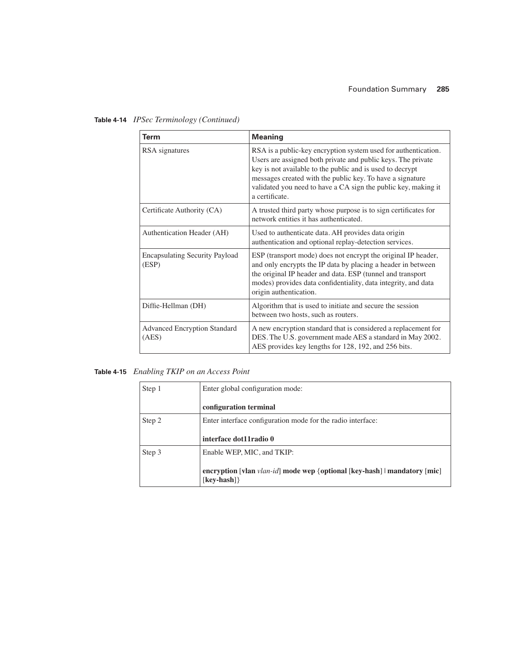| Term                                           | <b>Meaning</b>                                                                                                                                                                                                                                                                                                                               |
|------------------------------------------------|----------------------------------------------------------------------------------------------------------------------------------------------------------------------------------------------------------------------------------------------------------------------------------------------------------------------------------------------|
| RSA signatures                                 | RSA is a public-key encryption system used for authentication.<br>Users are assigned both private and public keys. The private<br>key is not available to the public and is used to decrypt<br>messages created with the public key. To have a signature<br>validated you need to have a CA sign the public key, making it<br>a certificate. |
| Certificate Authority (CA)                     | A trusted third party whose purpose is to sign certificates for<br>network entities it has authenticated.                                                                                                                                                                                                                                    |
| Authentication Header (AH)                     | Used to authenticate data. AH provides data origin<br>authentication and optional replay-detection services.                                                                                                                                                                                                                                 |
| <b>Encapsulating Security Payload</b><br>(ESP) | ESP (transport mode) does not encrypt the original IP header,<br>and only encrypts the IP data by placing a header in between<br>the original IP header and data. ESP (tunnel and transport<br>modes) provides data confidentiality, data integrity, and data<br>origin authentication.                                                      |
| Diffie-Hellman (DH)                            | Algorithm that is used to initiate and secure the session<br>between two hosts, such as routers.                                                                                                                                                                                                                                             |
| <b>Advanced Encryption Standard</b><br>(AES)   | A new encryption standard that is considered a replacement for<br>DES. The U.S. government made AES a standard in May 2002.<br>AES provides key lengths for 128, 192, and 256 bits.                                                                                                                                                          |

**Table 4-14** *IPSec Terminology (Continued)*

**Table 4-15** *Enabling TKIP on an Access Point*

| Step 1 | Enter global configuration mode:                                                          |
|--------|-------------------------------------------------------------------------------------------|
|        | configuration terminal                                                                    |
| Step 2 | Enter interface configuration mode for the radio interface:                               |
|        | interface dot11radio 0                                                                    |
| Step 3 | Enable WEP, MIC, and TKIP:                                                                |
|        | encryption [vlan vlan-id] mode wep {optional [key-hash]   mandatory [mic]<br>$[key-hash]$ |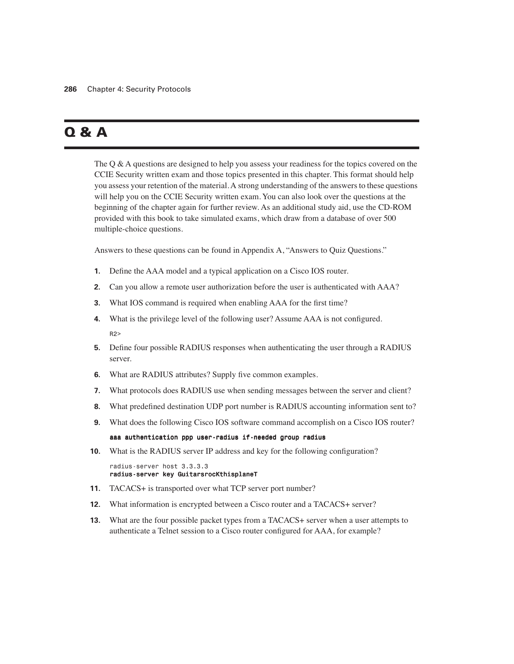# **Q & A**

The Q & A questions are designed to help you assess your readiness for the topics covered on the CCIE Security written exam and those topics presented in this chapter. This format should help you assess your retention of the material. A strong understanding of the answers to these questions will help you on the CCIE Security written exam. You can also look over the questions at the beginning of the chapter again for further review. As an additional study aid, use the CD-ROM provided with this book to take simulated exams, which draw from a database of over 500 multiple-choice questions.

Answers to these questions can be found in Appendix A, "Answers to Quiz Questions."

- **1.** Define the AAA model and a typical application on a Cisco IOS router.
- **2.** Can you allow a remote user authorization before the user is authenticated with AAA?
- **3.** What IOS command is required when enabling AAA for the first time?
- **4.** What is the privilege level of the following user? Assume AAA is not configured. R2>
- **5.** Define four possible RADIUS responses when authenticating the user through a RADIUS server.
- **6.** What are RADIUS attributes? Supply five common examples.
- **7.** What protocols does RADIUS use when sending messages between the server and client?
- **8.** What predefined destination UDP port number is RADIUS accounting information sent to?
- **9.** What does the following Cisco IOS software command accomplish on a Cisco IOS router?

aaa authentication ppp user-radius if-needed group radius

**10.** What is the RADIUS server IP address and key for the following configuration?

radius-server host 3.3.3.3 radius-server key GuitarsrocKthisplaneT

- **11.** TACACS+ is transported over what TCP server port number?
- **12.** What information is encrypted between a Cisco router and a TACACS+ server?
- **13.** What are the four possible packet types from a TACACS+ server when a user attempts to authenticate a Telnet session to a Cisco router configured for AAA, for example?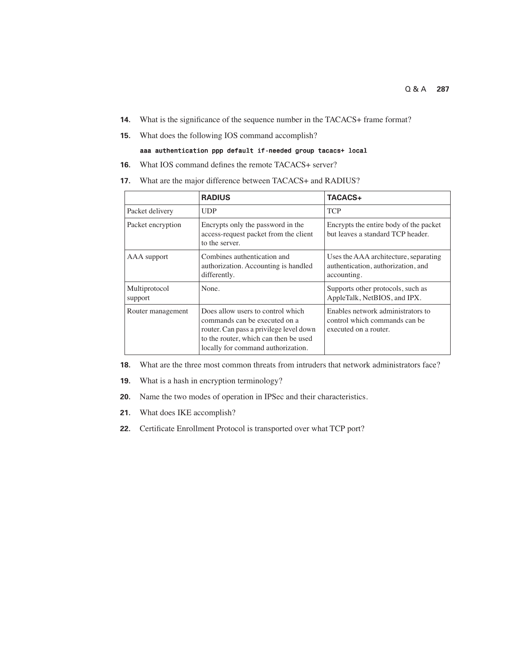- Q & A **287**
- **14.** What is the significance of the sequence number in the TACACS+ frame format?
- **15.** What does the following IOS command accomplish?

### aaa authentication ppp default if-needed group tacacs+ local

- **16.** What IOS command defines the remote TACACS+ server?
- **17.** What are the major difference between TACACS+ and RADIUS?

|                          | <b>RADIUS</b>                                                                                                                                                                                | TACACS+                                                                                     |
|--------------------------|----------------------------------------------------------------------------------------------------------------------------------------------------------------------------------------------|---------------------------------------------------------------------------------------------|
| Packet delivery          | <b>UDP</b>                                                                                                                                                                                   | <b>TCP</b>                                                                                  |
| Packet encryption        | Encrypts only the password in the<br>access-request packet from the client<br>to the server.                                                                                                 | Encrypts the entire body of the packet<br>but leaves a standard TCP header.                 |
| AAA support              | Combines authentication and<br>authorization. Accounting is handled<br>differently.                                                                                                          | Uses the AAA architecture, separating<br>authentication, authorization, and<br>accounting.  |
| Multiprotocol<br>support | None.                                                                                                                                                                                        | Supports other protocols, such as<br>AppleTalk, NetBIOS, and IPX.                           |
| Router management        | Does allow users to control which<br>commands can be executed on a<br>router. Can pass a privilege level down<br>to the router, which can then be used<br>locally for command authorization. | Enables network administrators to<br>control which commands can be<br>executed on a router. |

- **18.** What are the three most common threats from intruders that network administrators face?
- **19.** What is a hash in encryption terminology?
- **20.** Name the two modes of operation in IPSec and their characteristics.
- **21.** What does IKE accomplish?
- **22.** Certificate Enrollment Protocol is transported over what TCP port?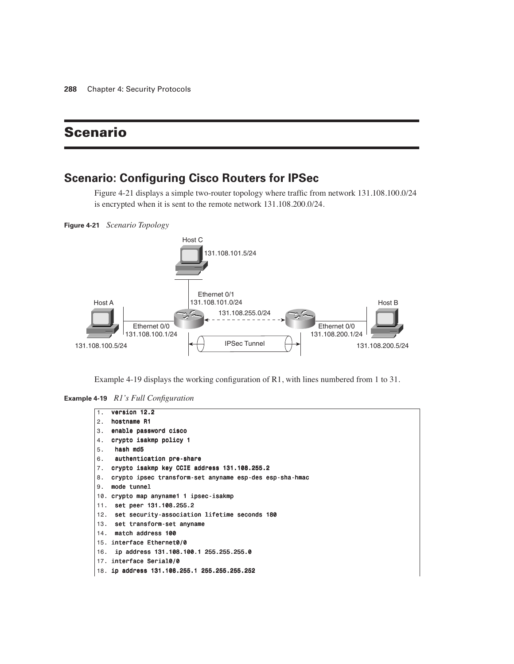# **Scenario**

## **Scenario: Configuring Cisco Routers for IPSec**

Figure 4-21 displays a simple two-router topology where traffic from network 131.108.100.0/24 is encrypted when it is sent to the remote network 131.108.200.0/24.





Example 4-19 displays the working configuration of R1, with lines numbered from 1 to 31.

**Example 4-19** *R1's Full Configuration* 

```
1. version 12.2
2. hostname R1
3. enable password cisco
4. crypto isakmp policy 1
5. hash md5
6. authentication pre-share
7. crypto isakmp key CCIE address 131.108.255.2
8. crypto ipsec transform-set anyname esp-des esp-sha-hmac 
9. mode tunnel
10. crypto map anyname1 1 ipsec-isakmp 
11. set peer 131.108.255.2
12. set security-association lifetime seconds 180
13. set transform-set anyname 
14. match address 100
15. interface Ethernet0/0
16. ip address 131.108.100.1 255.255.255.0
17. interface Serial0/0
18. ip address 131.108.255.1 255.255.255.252
```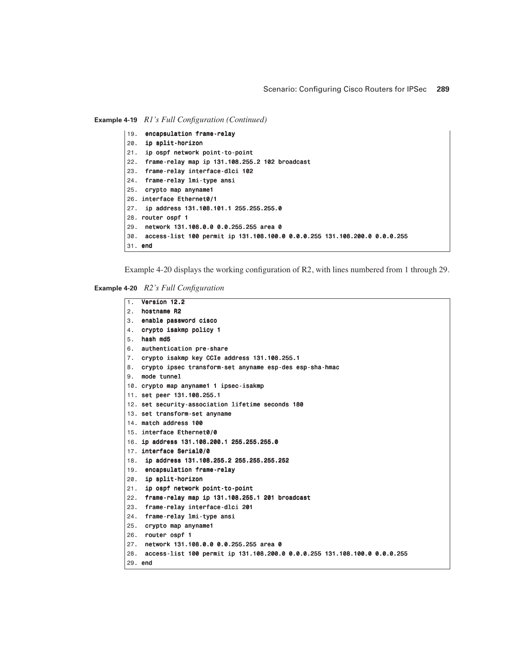```
Example 4-19 R1's Full Configuration (Continued)
```

```
19. encapsulation frame-relay
20. ip split-horizon
21. ip ospf network point-to-point
22. frame-relay map ip 131.108.255.2 102 broadcast
23. frame-relay interface-dlci 102
24. frame-relay lmi-type ansi
25. crypto map anyname1
26. interface Ethernet0/1
27. ip address 131.108.101.1 255.255.255.0
28. router ospf 1
29. network 131.108.0.0 0.0.255.255 area 0
30. access-list 100 permit ip 131.108.100.0 0.0.0.255 131.108.200.0 0.0.0.255
31. end
```
Example 4-20 displays the working configuration of R2, with lines numbered from 1 through 29.

**Example 4-20** *R2's Full Configuration* 

```
1. Version 12.2
2. hostname R2
3. enable password cisco
4. crypto isakmp policy 1
5. hash md5
6. authentication pre-share
7. crypto isakmp key CCIe address 131.108.255.1
8. crypto ipsec transform-set anyname esp-des esp-sha-hmac 
9. mode tunnel
10. crypto map anyname1 1 ipsec-isakmp 
11. set peer 131.108.255.1
12. set security-association lifetime seconds 180
13. set transform-set anyname 
14. match address 100
15. interface Ethernet0/0
16. ip address 131.108.200.1 255.255.255.0
17. interface Serial0/0
18. ip address 131.108.255.2 255.255.255.252
19. encapsulation frame-relay
20. ip split-horizon
21. ip ospf network point-to-point
22. frame-relay map ip 131.108.255.1 201 broadcast
23. frame-relay interface-dlci 201
24. frame-relay lmi-type ansi
25. crypto map anyname1
26. router ospf 1
27. network 131.108.0.0 0.0.255.255 area 0
28. access-list 100 permit ip 131.108.200.0 0.0.0.255 131.108.100.0 0.0.0.255
29. end
```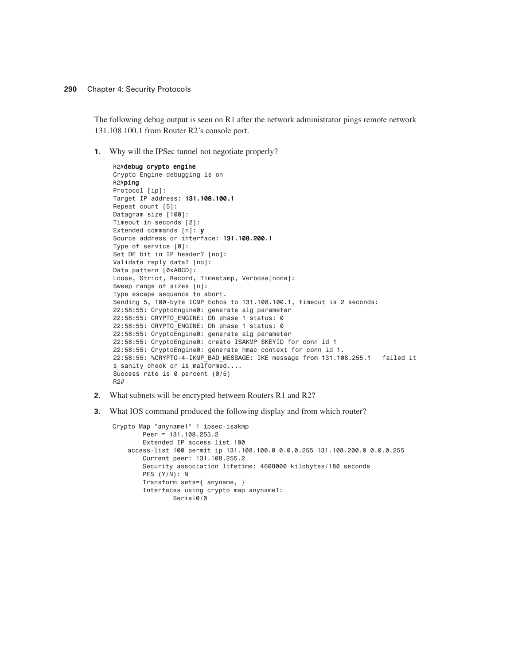The following debug output is seen on R1 after the network administrator pings remote network 131.108.100.1 from Router R2's console port.

**1.** Why will the IPSec tunnel not negotiate properly?

```
R2#debug crypto engine
Crypto Engine debugging is on
R2#ping
Protocol [ip]: 
Target IP address: 131.108.100.1
Repeat count [5]:
Datagram size [100]: 
Timeout in seconds [2]: 
Extended commands [n]: y
Source address or interface: 131.108.200.1
Type of service [0]: 
Set DF bit in IP header? [no]: 
Validate reply data? [no]: 
Data pattern [0xABCD]: 
Loose, Strict, Record, Timestamp, Verbose[none]: 
Sweep range of sizes [n]: 
Type escape sequence to abort.
Sending 5, 100-byte ICMP Echos to 131.108.100.1, timeout is 2 seconds:
22:58:55: CryptoEngine0: generate alg parameter
22:58:55: CRYPTO_ENGINE: Dh phase 1 status: 0
22:58:55: CRYPTO_ENGINE: Dh phase 1 status: 0
22:58:55: CryptoEngine0: generate alg parameter
22:58:55: CryptoEngine0: create ISAKMP SKEYID for conn id 1
22:58:55: CryptoEngine0: generate hmac context for conn id 1.
22:58:55: %CRYPTO-4-IKMP_BAD_MESSAGE: IKE message from 131.108.255.1 failed it
s sanity check or is malformed....
Success rate is 0 percent (0/5)
R2#
```
- **2.** What subnets will be encrypted between Routers R1 and R2?
- **3.** What IOS command produced the following display and from which router?

```
Crypto Map "anyname1" 1 ipsec-isakmp
         Peer = 131.108.255.2
         Extended IP access list 100
     access-list 100 permit ip 131.108.100.0 0.0.0.255 131.108.200.0 0.0.0.255
         Current peer: 131.108.255.2
         Security association lifetime: 4608000 kilobytes/180 seconds
         PFS (Y/N): N
         Transform sets={ anyname, }
         Interfaces using crypto map anyname1:
                 Serial0/0
```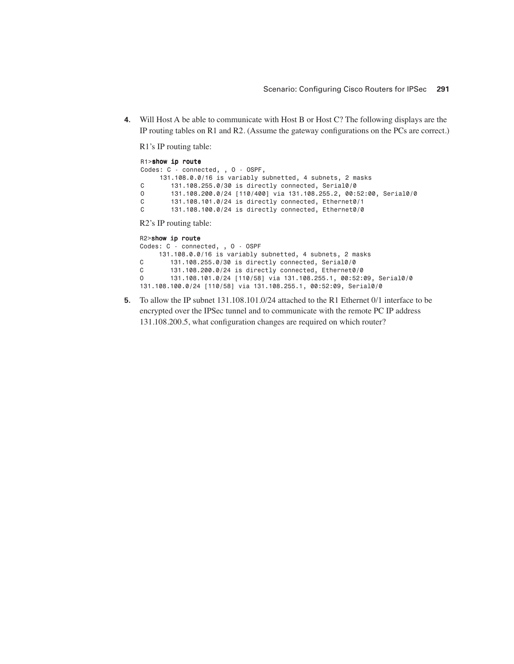**4.** Will Host A be able to communicate with Host B or Host C? The following displays are the IP routing tables on R1 and R2. (Assume the gateway configurations on the PCs are correct.)

R1's IP routing table:

| R <sub>1</sub> >show ip route                                          |
|------------------------------------------------------------------------|
| Codes: C - connected, , O - OSPF,                                      |
| 131.108.0.0/16 is variably subnetted, 4 subnets, 2 masks               |
| 131.108.255.0/30 is directly connected, Serial0/0<br>$\mathsf{C}$      |
| 0<br>131.108.200.0/24 [110/400] via 131.108.255.2, 00:52:00, Serial0/0 |
| $\mathsf{C}$<br>131.108.101.0/24 is directly connected, Ethernet0/1    |
| $\mathsf{C}$<br>$131.108.100.0/24$ is directly connected, Ethernet0/0  |
| R2's IP routing table:                                                 |

```
R2>show ip route
Codes: C - connected, , O - OSPF
131.108.0.0/16 is variably subnetted, 4 subnets, 2 masks<br>C 131.108.255.0/30 is directly connected, Serial0/0
         C 131.108.255.0/30 is directly connected, Serial0/0
C 131.108.200.0/24 is directly connected, Ethernet0/0
O 131.108.101.0/24 [110/58] via 131.108.255.1, 00:52:09, Serial0/0
131.108.100.0/24 [110/58] via 131.108.255.1, 00:52:09, Serial0/0
```
**5.** To allow the IP subnet 131.108.101.0/24 attached to the R1 Ethernet 0/1 interface to be encrypted over the IPSec tunnel and to communicate with the remote PC IP address 131.108.200.5, what configuration changes are required on which router?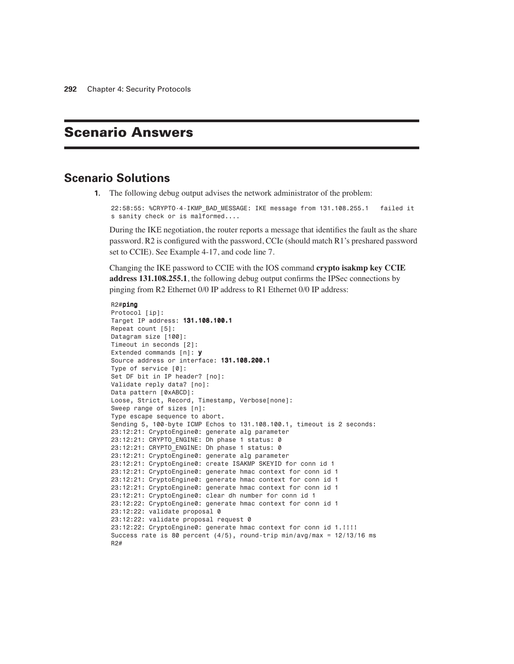## **Scenario Answers**

## **Scenario Solutions**

**1.** The following debug output advises the network administrator of the problem:

22:58:55: %CRYPTO-4-IKMP\_BAD\_MESSAGE: IKE message from 131.108.255.1 failed it s sanity check or is malformed....

During the IKE negotiation, the router reports a message that identifies the fault as the share password. R2 is configured with the password, CCIe (should match R1's preshared password set to CCIE). See Example 4-17, and code line 7.

Changing the IKE password to CCIE with the IOS command **crypto isakmp key CCIE address 131.108.255.1**, the following debug output confirms the IPSec connections by pinging from R2 Ethernet 0/0 IP address to R1 Ethernet 0/0 IP address:

```
R2#ping
Protocol [ip]: 
Target IP address: 131.108.100.1
Repeat count [5]: 
Datagram size [100]: 
Timeout in seconds [2]: 
Extended commands [n]: y
Source address or interface: 131.108.200.1
Type of service [0]: 
Set DF bit in IP header? [no]: 
Validate reply data? [no]: 
Data pattern [0xABCD]: 
Loose, Strict, Record, Timestamp, Verbose[none]: 
Sweep range of sizes [n]: 
Type escape sequence to abort.
Sending 5, 100-byte ICMP Echos to 131.108.100.1, timeout is 2 seconds:
23:12:21: CryptoEngine0: generate alg parameter
23:12:21: CRYPTO_ENGINE: Dh phase 1 status: 0
23:12:21: CRYPTO_ENGINE: Dh phase 1 status: 0
23:12:21: CryptoEngine0: generate alg parameter
23:12:21: CryptoEngine0: create ISAKMP SKEYID for conn id 1
23:12:21: CryptoEngine0: generate hmac context for conn id 1
23:12:21: CryptoEngine0: generate hmac context for conn id 1
23:12:21: CryptoEngine0: generate hmac context for conn id 1
23:12:21: CryptoEngine0: clear dh number for conn id 1
23:12:22: CryptoEngine0: generate hmac context for conn id 1
23:12:22: validate proposal 0
23:12:22: validate proposal request 0
23:12:22: CryptoEngine0: generate hmac context for conn id 1.!!!!
Success rate is 80 percent (4/5), round-trip min/avg/max = 12/13/16 ms
R2#
```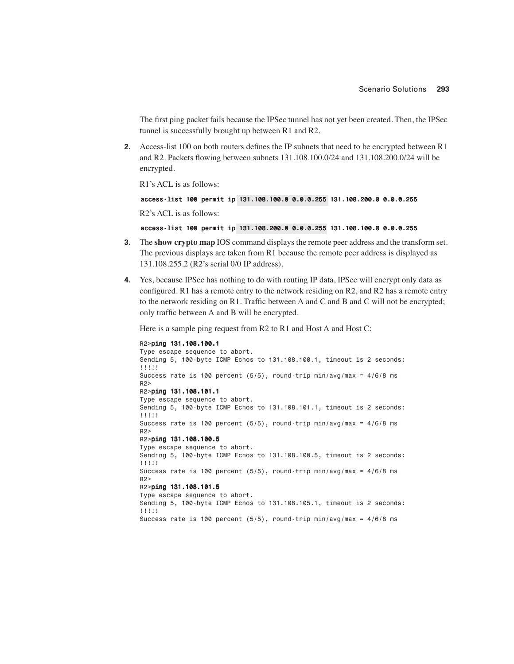The first ping packet fails because the IPSec tunnel has not yet been created. Then, the IPSec tunnel is successfully brought up between R1 and R2.

**2.** Access-list 100 on both routers defines the IP subnets that need to be encrypted between R1 and R2. Packets flowing between subnets 131.108.100.0/24 and 131.108.200.0/24 will be encrypted.

R1's ACL is as follows:

```
access-list 100 permit ip 131.108.100.0 0.0.0.255 131.108.200.0 0.0.0.255
R2's ACL is as follows:
```
access-list 100 permit ip 131.108.200.0 0.0.0.255 131.108.100.0 0.0.0.255

- **3.** The **show crypto map** IOS command displays the remote peer address and the transform set. The previous displays are taken from R1 because the remote peer address is displayed as 131.108.255.2 (R2's serial 0/0 IP address).
- **4.** Yes, because IPSec has nothing to do with routing IP data, IPSec will encrypt only data as configured. R1 has a remote entry to the network residing on R2, and R2 has a remote entry to the network residing on R1. Traffic between A and C and B and C will not be encrypted; only traffic between A and B will be encrypted.

Here is a sample ping request from R2 to R1 and Host A and Host C:

```
R2>ping 131.108.100.1
Type escape sequence to abort.
Sending 5, 100-byte ICMP Echos to 131.108.100.1, timeout is 2 seconds:
!!!!!
Success rate is 100 percent (5/5), round-trip min/avg/max = 4/6/8 ms
R2R2>ping 131.108.101.1
Type escape sequence to abort.
Sending 5, 100-byte ICMP Echos to 131.108.101.1, timeout is 2 seconds:
!!!!!
Success rate is 100 percent (5/5), round-trip min/avg/max = 4/6/8 ms
R2>
R2>ping 131.108.100.5
Type escape sequence to abort.
Sending 5, 100-byte ICMP Echos to 131.108.100.5, timeout is 2 seconds:
!!!!!
Success rate is 100 percent (5/5), round-trip min/avg/max = 4/6/8 ms
R2R2>ping 131.108.101.5
Type escape sequence to abort.
Sending 5, 100-byte ICMP Echos to 131.108.105.1, timeout is 2 seconds:
!!!!!
Success rate is 100 percent (5/5), round-trip min/avg/max = 4/6/8 ms
```